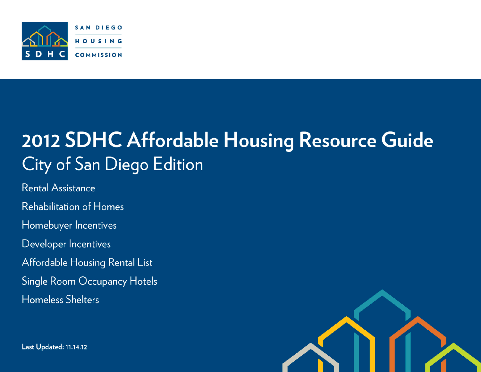

# 2012 SDHC Affordable Housing Resource Guide City of San Diego Edition

Rental Assistance **Rehabilitation of Homes** Homebuyer Incentives Developer Incentives Affordable Housing Rental List Single Room Occupancy Hotels **Homeless Shelters** 

**Last Updated: 11.14.12** 

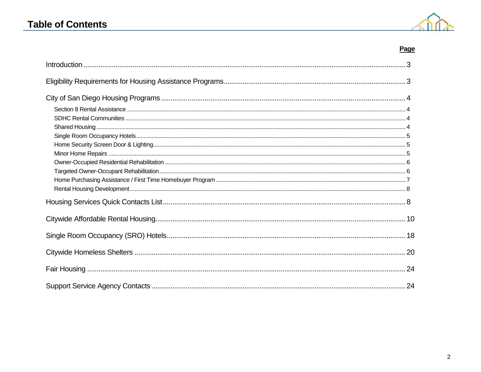### **Table of Contents**



### Page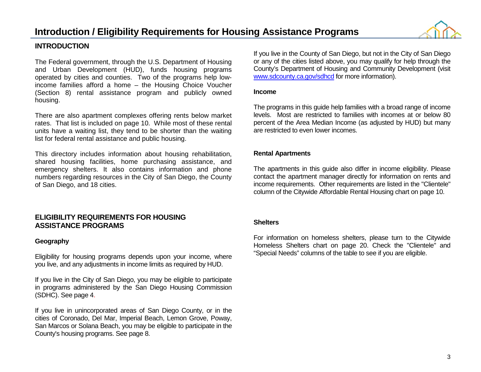

### **INTRODUCTION**

The Federal government, through the U.S. Department of Housing and Urban Development (HUD), funds housing programs operated by cities and counties. Two of the programs help lowincome families afford a home – the Housing Choice Voucher (Section 8) rental assistance program and publicly owned housing.

There are also apartment complexes offering rents below market rates. That list is included on page 10. While most of these rental units have a waiting list, they tend to be shorter than the waiting list for federal rental assistance and public housing.

This directory includes information about housing rehabilitation, shared housing facilities, home purchasing assistance, and emergency shelters. It also contains information and phone numbers regarding resources in the City of San Diego, the County of San Diego, and 18 cities.

### **ELIGIBILITY REQUIREMENTS FOR HOUSING ASSISTANCE PROGRAMS**

### **Geography**

Eligibility for housing programs depends upon your income, where you live, and any adjustments in income limits as required by HUD.

If you live in the City of San Diego, you may be eligible to participate in programs administered by the San Diego Housing Commission (SDHC). See page 4.

If you live in unincorporated areas of San Diego County, or in the cities of Coronado, Del Mar, Imperial Beach, Lemon Grove, Poway, San Marcos or Solana Beach, you may be eligible to participate in the County's housing programs. See page 8.

If you live in the County of San Diego, but not in the City of San Diego or any of the cities listed above, you may qualify for help through the County's Department of Housing and Community Development (visit [www.sdcounty.ca.gov/sdhcd](http://www.sdcounty.ca.gov/sdhcd) for more information).

#### **Income**

The programs in this guide help families with a broad range of income levels. Most are restricted to families with incomes at or below 80 percent of the Area Median Income (as adjusted by HUD) but many are restricted to even lower incomes.

### **Rental Apartments**

The apartments in this guide also differ in income eligibility. Please contact the apartment manager directly for information on rents and income requirements. Other requirements are listed in the "Clientele" column of the Citywide Affordable Rental Housing chart on page 10.

### **Shelters**

For information on homeless shelters, please turn to the Citywide Homeless Shelters chart on page 20. Check the "Clientele" and "Special Needs" columns of the table to see if you are eligible.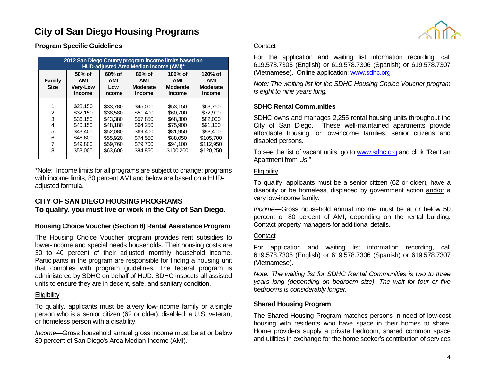

### **Program Specific Guidelines**

| 2012 San Diego County program income limits based on<br><b>HUD-adjusted Area Median Income (AMI)*</b> |                                                                                              |                                                                                              |                                                                                              |                                                                                               |                                                                                                 |  |  |  |  |  |
|-------------------------------------------------------------------------------------------------------|----------------------------------------------------------------------------------------------|----------------------------------------------------------------------------------------------|----------------------------------------------------------------------------------------------|-----------------------------------------------------------------------------------------------|-------------------------------------------------------------------------------------------------|--|--|--|--|--|
| Family<br><b>Size</b>                                                                                 | $50\%$ of<br>AMI<br><b>Very-Low</b><br><b>Income</b>                                         | $60%$ of<br>AMI<br>Low<br><b>Income</b>                                                      | $80%$ of<br>AMI<br><b>Moderate</b><br><b>Income</b>                                          | 100% of<br>AMI<br><b>Moderate</b><br><b>Income</b>                                            | 120% of<br><b>AMI</b><br><b>Moderate</b><br><b>Income</b>                                       |  |  |  |  |  |
| $\overline{2}$<br>3<br>4<br>5<br>6<br>8                                                               | \$28.150<br>\$32,150<br>\$36.150<br>\$40.150<br>\$43.400<br>\$46,600<br>\$49.800<br>\$53,000 | \$33.780<br>\$38,580<br>\$43,380<br>\$48.180<br>\$52,080<br>\$55,920<br>\$59.760<br>\$63,600 | \$45,000<br>\$51,400<br>\$57,850<br>\$64,250<br>\$69,400<br>\$74.550<br>\$79.700<br>\$84.850 | \$53.150<br>\$60,700<br>\$68,300<br>\$75,900<br>\$81.950<br>\$88,050<br>\$94.100<br>\$100.200 | \$63,750<br>\$72,900<br>\$82,000<br>\$91.100<br>\$98,400<br>\$105,700<br>\$112.950<br>\$120,250 |  |  |  |  |  |

\*Note: Income limits for all programs are subject to change; programs with income limits, 80 percent AMI and below are based on a HUDadjusted formula.

### **CITY OF SAN DIEGO HOUSING PROGRAMS To qualify, you must live or work in the City of San Diego.**

### **Housing Choice Voucher (Section 8) Rental Assistance Program**

The Housing Choice Voucher program provides rent subsidies to lower-income and special needs households. Their housing costs are 30 to 40 percent of their adjusted monthly household income. Participants in the program are responsible for finding a housing unit that complies with program guidelines. The federal program is administered by SDHC on behalf of HUD. SDHC inspects all assisted units to ensure they are in decent, safe, and sanitary condition.

### **Eligibility**

To qualify, applicants must be a very low-income family or a single person who is a senior citizen (62 or older), disabled, a U.S. veteran, or homeless person with a disability.

*Income—*Gross household annual gross income must be at or below 80 percent of San Diego's Area Median Income (AMI).

### **Contact**

For the application and waiting list information recording, call 619.578.7305 (English) or 619.578.7306 (Spanish) or 619.578.7307 (Vietnamese). Online application: [www.sdhc.org](http://www.sdhc.org/)

*Note: The waiting list for the SDHC Housing Choice Voucher program is eight to nine years long.*

### **SDHC Rental Communities**

SDHC owns and manages 2,255 rental housing units throughout the City of San Diego. These well-maintained apartments provide affordable housing for low-income families, senior citizens and disabled persons.

To see the list of vacant units, go to [www.sdhc.org](http://www.sdhc.org/) and click "Rent an Apartment from Us."

### **Eligibility**

To qualify, applicants must be a senior citizen (62 or older), have a disability or be homeless, displaced by government action and/or a very low-income family.

*Income—*Gross household annual income must be at or below 50 percent or 80 percent of AMI, depending on the rental building. Contact property managers for additional details.

### **Contact**

For application and waiting list information recording, call 619.578.7305 (English) or 619.578.7306 (Spanish) or 619.578.7307 (Vietnamese).

*Note: The waiting list for SDHC Rental Communities is two to three years long (depending on bedroom size). The wait for four or five bedrooms is considerably longer.*

### **Shared Housing Program**

The Shared Housing Program matches persons in need of low-cost housing with residents who have space in their homes to share. Home providers supply a private bedroom, shared common space and utilities in exchange for the home seeker's contribution of services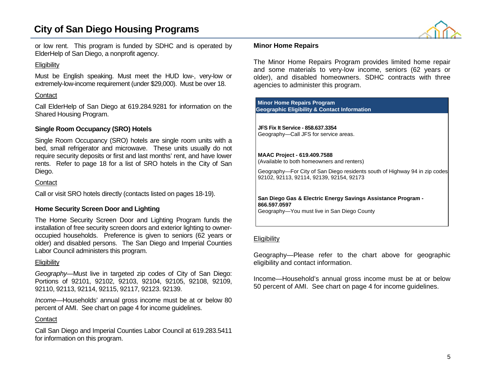### **City of San Diego Housing Programs**



or low rent. This program is funded by SDHC and is operated by ElderHelp of San Diego, a nonprofit agency.

### **Eligibility**

Must be English speaking. Must meet the HUD low-, very-low or extremely-low-income requirement (under \$29,000). Must be over 18.

### **Contact**

Call ElderHelp of San Diego at 619.284.9281 for information on the Shared Housing Program.

### **Single Room Occupancy (SRO) Hotels**

Single Room Occupancy (SRO) hotels are single room units with a bed, small refrigerator and microwave. These units usually do not require security deposits or first and last months' rent, and have lower rents. Refer to page 18 for a list of SRO hotels in the City of San Diego.

### **Contact**

Call or visit SRO hotels directly (contacts listed on pages 18-19).

### **Home Security Screen Door and Lighting**

The Home Security Screen Door and Lighting Program funds the installation of free security screen doors and exterior lighting to owneroccupied households. Preference is given to seniors (62 years or older) and disabled persons. The San Diego and Imperial Counties Labor Council administers this program.

### **Eligibility**

*Geography—*Must live in targeted zip codes of City of San Diego: Portions of 92101, 92102, 92103, 92104, 92105, 92108, 92109, 92110, 92113, 92114, 92115, 92117, 92123. 92139.

*Income—*Households' annual gross income must be at or below 80 percent of AMI. See chart on page 4 for income guidelines.

### **Contact**

Call San Diego and Imperial Counties Labor Council at 619.283.5411 for information on this program.

### **Minor Home Repairs**

The Minor Home Repairs Program provides limited home repair and some materials to very-low income, seniors (62 years or older), and disabled homeowners. SDHC contracts with three agencies to administer this program.

### **Minor Home Repairs Program**

**Geographic Eligibility & Contact Information**

#### **JFS Fix It Service - 858.637.3354** Geography—Call JFS for service areas.

#### **MAAC Project - 619.409.7588**

(Available to both homeowners and renters)

Geography—For City of San Diego residents south of Highway 94 in zip codes 92102, 92113, 92114, 92139, 92154, 92173

#### **San Diego Gas & Electric Energy Savings Assistance Program - 866.597.0597**

Geography—You must live in San Diego County

### **Eligibility**

Geography—Please refer to the chart above for geographic eligibility and contact information.

Income—Household's annual gross income must be at or below 50 percent of AMI. See chart on page 4 for income guidelines.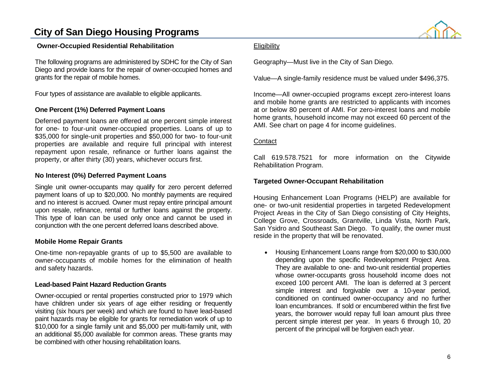### **City of San Diego Housing Programs**

### **Owner-Occupied Residential Rehabilitation**

The following programs are administered by SDHC for the City of San Diego and provide loans for the repair of owner-occupied homes and grants for the repair of mobile homes.

Four types of assistance are available to eligible applicants.

### **One Percent (1%) Deferred Payment Loans**

Deferred payment loans are offered at one percent simple interest for one- to four-unit owner-occupied properties. Loans of up to \$35,000 for single-unit properties and \$50,000 for two- to four-unit properties are available and require full principal with interest repayment upon resale, refinance or further loans against the property, or after thirty (30) years, whichever occurs first.

### **No Interest (0%) Deferred Payment Loans**

Single unit owner-occupants may qualify for zero percent deferred payment loans of up to \$20,000. No monthly payments are required and no interest is accrued. Owner must repay entire principal amount upon resale, refinance, rental or further loans against the property. This type of loan can be used only once and cannot be used in conjunction with the one percent deferred loans described above.

### **Mobile Home Repair Grants**

One-time non-repayable grants of up to \$5,500 are available to owner-occupants of mobile homes for the elimination of health and safety hazards.

### **Lead-based Paint Hazard Reduction Grants**

Owner-occupied or rental properties constructed prior to 1979 which have children under six years of age either residing or frequently visiting (six hours per week) and which are found to have lead-based paint hazards may be eligible for grants for remediation work of up to \$10,000 for a single family unit and \$5,000 per multi-family unit, with an additional \$5,000 available for common areas. These grants may be combined with other housing rehabilitation loans.

### **Eligibility**

Geography—Must live in the City of San Diego.

Value—A single-family residence must be valued under \$496,375.

Income—All owner-occupied programs except zero-interest loans and mobile home grants are restricted to applicants with incomes at or below 80 percent of AMI. For zero-interest loans and mobile home grants, household income may not exceed 60 percent of the AMI. See chart on page 4 for income guidelines.

### **Contact**

Call 619.578.7521 for more information on the Citywide Rehabilitation Program.

### **Targeted Owner-Occupant Rehabilitation**

Housing Enhancement Loan Programs (HELP) are available for one- or two-unit residential properties in targeted Redevelopment Project Areas in the City of San Diego consisting of City Heights, College Grove, Crossroads, Grantville, Linda Vista, North Park, San Ysidro and Southeast San Diego. To qualify, the owner must reside in the property that will be renovated.

• Housing Enhancement Loans range from \$20,000 to \$30,000 depending upon the specific Redevelopment Project Area. They are available to one- and two-unit residential properties whose owner-occupants gross household income does not exceed 100 percent AMI. The loan is deferred at 3 percent simple interest and forgivable over a 10-year period, conditioned on continued owner-occupancy and no further loan encumbrances. If sold or encumbered within the first five years, the borrower would repay full loan amount plus three percent simple interest per year. In years 6 through 10, 20 percent of the principal will be forgiven each year.

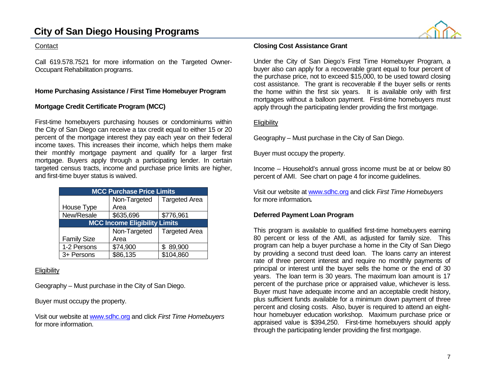### **City of San Diego Housing Programs**

### **Contact**

Call 619.578.7521 for more information on the Targeted Owner-Occupant Rehabilitation programs.

### **Home Purchasing Assistance / First Time Homebuyer Program**

### **Mortgage Credit Certificate Program (MCC)**

First-time homebuyers purchasing houses or condominiums within the City of San Diego can receive a tax credit equal to either 15 or 20 percent of the mortgage interest they pay each year on their federal income taxes. This increases their income, which helps them make their monthly mortgage payment and qualify for a larger first mortgage. Buyers apply through a participating lender. In certain targeted census tracts, income and purchase price limits are higher, and first-time buyer status is waived.

| <b>MCC Purchase Price Limits</b>     |              |                      |  |  |  |  |  |  |  |
|--------------------------------------|--------------|----------------------|--|--|--|--|--|--|--|
|                                      | Non-Targeted | <b>Targeted Area</b> |  |  |  |  |  |  |  |
| House Type                           | Area         |                      |  |  |  |  |  |  |  |
| New/Resale                           | \$635,696    | \$776,961            |  |  |  |  |  |  |  |
| <b>MCC Income Eligibility Limits</b> |              |                      |  |  |  |  |  |  |  |
|                                      | Non-Targeted | <b>Targeted Area</b> |  |  |  |  |  |  |  |
| <b>Family Size</b>                   | Area         |                      |  |  |  |  |  |  |  |
| 1-2 Persons                          | \$74,900     | \$89,900             |  |  |  |  |  |  |  |
| 3+ Persons                           | \$86,135     | \$104,860            |  |  |  |  |  |  |  |

### **Eligibility**

Geography – Must purchase in the City of San Diego.

Buyer must occupy the property.

Visit our website a[t www.sdhc.org](http://www.sdhc.org/) and click *First Time Homebuyers* for more information.

### **Closing Cost Assistance Grant**

Under the City of San Diego's First Time Homebuyer Program, a buyer also can apply for a recoverable grant equal to four percent of the purchase price, not to exceed \$15,000, to be used toward closing cost assistance. The grant is recoverable if the buyer sells or rents the home within the first six years. It is available only with first mortgages without a balloon payment. First-time homebuyers must apply through the participating lender providing the first mortgage.

### **Eligibility**

Geography – Must purchase in the City of San Diego.

Buyer must occupy the property.

Income – Household's annual gross income must be at or below 80 percent of AMI. See chart on page 4 for income guidelines.

Visit our website a[t www.sdhc.org](http://www.sdhc.org/) and click *First Time Homebuyers* for more information*.*

### **Deferred Payment Loan Program**

This program is available to qualified first-time homebuyers earning 80 percent or less of the AMI, as adjusted for family size. This program can help a buyer purchase a home in the City of San Diego by providing a second trust deed loan. The loans carry an interest rate of three percent interest and require no monthly payments of principal or interest until the buyer sells the home or the end of 30 years. The loan term is 30 years. The maximum loan amount is 17 percent of the purchase price or appraised value, whichever is less. Buyer must have adequate income and an acceptable credit history, plus sufficient funds available for a minimum down payment of three percent and closing costs. Also, buyer is required to attend an eighthour homebuyer education workshop. Maximum purchase price or appraised value is \$394,250. First-time homebuyers should apply through the participating lender providing the first mortgage.

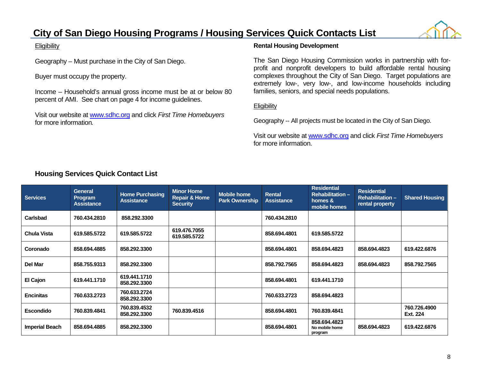### **City of San Diego Housing Programs / Housing Services Quick Contacts List**

### **Eligibility**

Geography – Must purchase in the City of San Diego.

Buyer must occupy the property.

Income – Household's annual gross income must be at or below 80 percent of AMI. See chart on page 4 for income guidelines.

Visit our website a[t www.sdhc.org](http://www.sdhc.org/) and click *First Time Homebuyers* for more information*.*

### **Rental Housing Development**

The San Diego Housing Commission works in partnership with forprofit and nonprofit developers to build affordable rental housing complexes throughout the City of San Diego. Target populations are extremely low-, very low-, and low-income households including families, seniors, and special needs populations.

### **Eligibility**

Geography -- All projects must be located in the City of San Diego.

Visit our website a[t www.sdhc.org](http://www.sdhc.org/) and click *First Time Homebuyers* for more information.

### **Housing Services Quick Contact List**

| <b>Services</b>       | <b>General</b><br><b>Program</b><br><b>Assistance</b> | <b>Home Purchasing</b><br><b>Assistance</b> | <b>Minor Home</b><br><b>Repair &amp; Home</b><br><b>Security</b> | <b>Mobile home</b><br><b>Park Ownership</b> | Rental<br><b>Assistance</b> | <b>Residential</b><br><b>Rehabilitation -</b><br>homes &<br>mobile homes | <b>Residential</b><br><b>Rehabilitation -</b><br>rental property | <b>Shared Housing</b>    |
|-----------------------|-------------------------------------------------------|---------------------------------------------|------------------------------------------------------------------|---------------------------------------------|-----------------------------|--------------------------------------------------------------------------|------------------------------------------------------------------|--------------------------|
| Carlsbad              | 760.434.2810                                          | 858.292.3300                                |                                                                  |                                             | 760.434.2810                |                                                                          |                                                                  |                          |
| <b>Chula Vista</b>    | 619.585.5722                                          | 619.585.5722                                | 619.476.7055<br>619.585.5722                                     |                                             | 858.694.4801                | 619.585.5722                                                             |                                                                  |                          |
| Coronado              | 858.694.4885                                          | 858.292.3300                                |                                                                  |                                             | 858.694.4801                | 858.694.4823                                                             | 858.694.4823                                                     | 619.422.6876             |
| Del Mar               | 858.755.9313                                          | 858.292.3300                                |                                                                  |                                             | 858.792.7565                | 858.694.4823                                                             | 858.694.4823                                                     | 858.792.7565             |
| El Cajon              | 619.441.1710                                          | 619.441.1710<br>858.292.3300                |                                                                  |                                             | 858.694.4801                | 619.441.1710                                                             |                                                                  |                          |
| <b>Encinitas</b>      | 760.633.2723                                          | 760.633.2724<br>858.292.3300                |                                                                  |                                             | 760.633.2723                | 858.694.4823                                                             |                                                                  |                          |
| <b>Escondido</b>      | 760.839.4841                                          | 760.839.4532<br>858,292,3300                | 760.839.4516                                                     |                                             | 858.694.4801                | 760.839.4841                                                             |                                                                  | 760.726.4900<br>Ext. 224 |
| <b>Imperial Beach</b> | 858.694.4885                                          | 858.292.3300                                |                                                                  |                                             | 858.694.4801                | 858.694.4823<br>No mobile home<br>program                                | 858.694.4823                                                     | 619.422.6876             |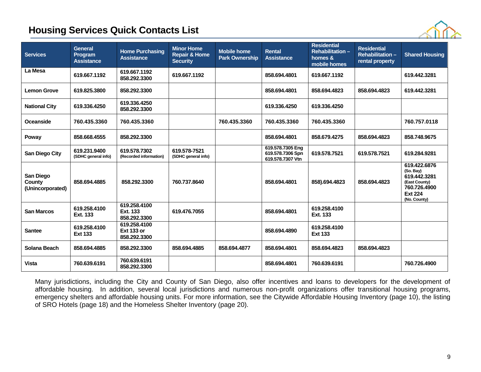### **Housing Services Quick Contacts List**



| <b>Services</b>                         | <b>General</b><br>Program<br><b>Assistance</b> | <b>Home Purchasing</b><br><b>Assistance</b>       | <b>Minor Home</b><br><b>Repair &amp; Home</b><br><b>Security</b> | <b>Mobile home</b><br><b>Park Ownership</b> | <b>Rental</b><br><b>Assistance</b>                       | <b>Residential</b><br><b>Rehabilitation -</b><br>homes &<br>mobile homes | <b>Residential</b><br><b>Rehabilitation -</b><br>rental property | <b>Shared Housing</b>                                                                                        |
|-----------------------------------------|------------------------------------------------|---------------------------------------------------|------------------------------------------------------------------|---------------------------------------------|----------------------------------------------------------|--------------------------------------------------------------------------|------------------------------------------------------------------|--------------------------------------------------------------------------------------------------------------|
| La Mesa                                 | 619.667.1192                                   | 619.667.1192<br>858.292.3300                      | 619.667.1192                                                     |                                             | 858.694.4801                                             | 619.667.1192                                                             |                                                                  | 619.442.3281                                                                                                 |
| <b>Lemon Grove</b>                      | 619.825.3800                                   | 858.292.3300                                      |                                                                  |                                             | 858.694.4801                                             | 858,694,4823                                                             | 858.694.4823                                                     | 619.442.3281                                                                                                 |
| <b>National City</b>                    | 619.336.4250                                   | 619.336.4250<br>858.292.3300                      |                                                                  |                                             | 619.336.4250                                             | 619.336.4250                                                             |                                                                  |                                                                                                              |
| <b>Oceanside</b>                        | 760.435.3360                                   | 760.435.3360                                      |                                                                  | 760.435.3360                                | 760.435.3360                                             | 760.435.3360                                                             |                                                                  | 760.757.0118                                                                                                 |
| Poway                                   | 858.668.4555                                   | 858.292.3300                                      |                                                                  |                                             | 858.694.4801                                             | 858.679.4275                                                             | 858.694.4823                                                     | 858.748.9675                                                                                                 |
| <b>San Diego City</b>                   | 619.231.9400<br>(SDHC general info)            | 619.578.7302<br>(Recorded information)            | 619.578-7521<br>(SDHC general info)                              |                                             | 619.578.7305 Eng<br>619.578.7306 Spn<br>619.578.7307 Vtn | 619,578,7521                                                             | 619,578,7521                                                     | 619,284,9281                                                                                                 |
| San Diego<br>County<br>(Unincorporated) | 858.694.4885                                   | 858.292.3300                                      | 760.737.8640                                                     |                                             | 858.694.4801                                             | 858).694.4823                                                            | 858.694.4823                                                     | 619.422.6876<br>(So. Bay)<br>619.442.3281<br>(East County)<br>760.726.4900<br><b>Ext 224</b><br>(No. County) |
| <b>San Marcos</b>                       | 619.258.4100<br>Ext. 133                       | 619.258.4100<br>Ext. 133<br>858.292.3300          | 619.476.7055                                                     |                                             | 858.694.4801                                             | 619.258.4100<br>Ext. 133                                                 |                                                                  |                                                                                                              |
| <b>Santee</b>                           | 619,258,4100<br><b>Ext 133</b>                 | 619.258.4100<br><b>Ext 133 or</b><br>858.292.3300 |                                                                  |                                             | 858.694.4890                                             | 619.258.4100<br><b>Ext 133</b>                                           |                                                                  |                                                                                                              |
| Solana Beach                            | 858.694.4885                                   | 858.292.3300                                      | 858.694.4885                                                     | 858.694.4877                                | 858.694.4801                                             | 858.694.4823                                                             | 858.694.4823                                                     |                                                                                                              |
| <b>Vista</b>                            | 760.639.6191                                   | 760.639.6191<br>858.292.3300                      |                                                                  |                                             | 858.694.4801                                             | 760.639.6191                                                             |                                                                  | 760.726.4900                                                                                                 |

Many jurisdictions, including the City and County of San Diego, also offer incentives and loans to developers for the development of affordable housing. In addition, several local jurisdictions and numerous non-profit organizations offer transitional housing programs, emergency shelters and affordable housing units. For more information, see the Citywide Affordable Housing Inventory (page 10), the listing of SRO Hotels (page 18) and the Homeless Shelter Inventory (page 20).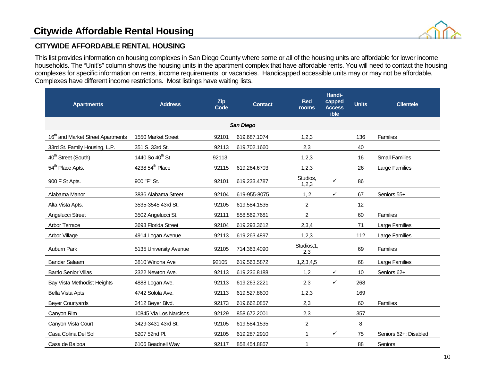

### **CITYWIDE AFFORDABLE RENTAL HOUSING**

This list provides information on housing complexes in San Diego County where some or all of the housing units are affordable for lower income households. The "Unit's" column shows the housing units in the apartment complex that have affordable rents. You will need to contact the housing complexes for specific information on rents, income requirements, or vacancies. Handicapped accessible units may or may not be affordable. Complexes have different income restrictions. Most listings have waiting lists.

| <b>Apartments</b>                             | <b>Address</b>              | Zip<br>Code | <b>Contact</b> | <b>Bed</b><br>rooms | Handi-<br>capped<br><b>Access</b><br>ible | <b>Units</b> | <b>Clientele</b>      |  |  |  |
|-----------------------------------------------|-----------------------------|-------------|----------------|---------------------|-------------------------------------------|--------------|-----------------------|--|--|--|
| San Diego                                     |                             |             |                |                     |                                           |              |                       |  |  |  |
| 16 <sup>th</sup> and Market Street Apartments | 1550 Market Street          | 92101       | 619.687.1074   | 1,2,3               |                                           | 136          | Families              |  |  |  |
| 33rd St. Family Housing, L.P.                 | 351 S. 33rd St.             | 92113       | 619.702.1660   | 2,3                 |                                           | 40           |                       |  |  |  |
| 40 <sup>th</sup> Street (South)               | 1440 So 40 <sup>th</sup> St | 92113       |                | 1,2,3               |                                           | 16           | <b>Small Families</b> |  |  |  |
| 54 <sup>th</sup> Place Apts.                  | 4238 54 <sup>th</sup> Place | 92115       | 619.264.6703   | 1,2,3               |                                           | 26           | Large Families        |  |  |  |
| 900 F St Apts.                                | 900 "F" St.                 | 92101       | 619.233.4787   | Studios,<br>1,2,3   | ✓                                         | 86           |                       |  |  |  |
| Alabama Manor                                 | 3836 Alabama Street         | 92104       | 619-955-8075   | 1, 2                | ✓                                         | 67           | Seniors 55+           |  |  |  |
| Alta Vista Apts.                              | 3535-3545 43rd St.          | 92105       | 619.584.1535   | $\overline{c}$      |                                           | 12           |                       |  |  |  |
| Angelucci Street                              | 3502 Angelucci St.          | 92111       | 858.569.7681   | $\overline{2}$      |                                           | 60           | Families              |  |  |  |
| <b>Arbor Terrace</b>                          | 3693 Florida Street         | 92104       | 619.293.3612   | 2,3,4               |                                           | 71           | <b>Large Families</b> |  |  |  |
| Arbor Village                                 | 4914 Logan Avenue           | 92113       | 619.263.4897   | 1,2,3               |                                           | 112          | Large Families        |  |  |  |
| Auburn Park                                   | 5135 University Avenue      | 92105       | 714.363.4090   | Studios, 1,<br>2,3  |                                           | 69           | Families              |  |  |  |
| <b>Bandar Salaam</b>                          | 3810 Winona Ave             | 92105       | 619.563.5872   | 1,2,3,4,5           |                                           | 68           | Large Families        |  |  |  |
| <b>Barrio Senior Villas</b>                   | 2322 Newton Ave.            | 92113       | 619.236.8188   | 1,2                 | $\checkmark$                              | 10           | Seniors 62+           |  |  |  |
| Bay Vista Methodist Heights                   | 4888 Logan Ave.             | 92113       | 619.263.2221   | 2,3                 | ✓                                         | 268          |                       |  |  |  |
| Bella Vista Apts.                             | 4742 Solola Ave.            | 92113       | 619.527.8600   | 1,2,3               |                                           | 169          |                       |  |  |  |
| <b>Beyer Courtyards</b>                       | 3412 Beyer Blvd.            | 92173       | 619.662.0857   | 2,3                 |                                           | 60           | Families              |  |  |  |
| Canyon Rim                                    | 10845 Via Los Narcisos      | 92129       | 858.672.2001   | 2,3                 |                                           | 357          |                       |  |  |  |
| Canyon Vista Court                            | 3429-3431 43rd St.          | 92105       | 619.584.1535   | $\overline{c}$      |                                           | 8            |                       |  |  |  |
| Casa Colina Del Sol                           | 5207 52nd Pl.               | 92105       | 619.287.2910   | 1                   | ✓                                         | 75           | Seniors 62+; Disabled |  |  |  |
| Casa de Balboa                                | 6106 Beadnell Way           | 92117       | 858.454.8857   | 1                   |                                           | 88           | Seniors               |  |  |  |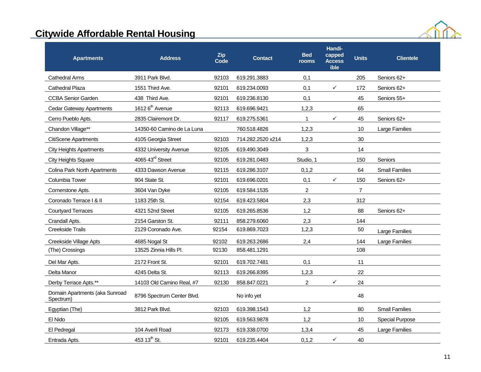

| <b>Apartments</b>                           | <b>Address</b>              | <b>Zip</b><br>Code | <b>Contact</b>    | <b>Bed</b><br>rooms | Handi-<br>capped<br><b>Access</b><br>ible | <b>Units</b>   | <b>Clientele</b>       |
|---------------------------------------------|-----------------------------|--------------------|-------------------|---------------------|-------------------------------------------|----------------|------------------------|
| <b>Cathedral Arms</b>                       | 3911 Park Blvd.             | 92103              | 619.291.3883      | 0,1                 |                                           | 205            | Seniors 62+            |
| Cathedral Plaza                             | 1551 Third Ave.             | 92101              | 619.234.0093      | 0,1                 | ✓                                         | 172            | Seniors 62+            |
| <b>CCBA Senior Garden</b>                   | 438 Third Ave.              | 92101              | 619.236.8130      | 0,1                 |                                           | 45             | Seniors 55+            |
| <b>Cedar Gateway Apartments</b>             | 1612 6 <sup>th</sup> Avenue | 92113              | 619.696.9421      | 1,2,3               |                                           | 65             |                        |
| Cerro Pueblo Apts.                          | 2835 Clairemont Dr.         | 92117              | 619.275.5361      | $\mathbf{1}$        | ✓                                         | 45             | Seniors 62+            |
| Chandon Village**                           | 14350-60 Camino de La Luna  |                    | 760.518.4826      | 1,2,3               |                                           | 10             | Large Families         |
| <b>CitiScene Apartments</b>                 | 4105 Georgia Street         | 92103              | 714.282.2520 x214 | 1,2,3               |                                           | 30             |                        |
| <b>City Heights Apartments</b>              | 4332 University Avenue      | 92105              | 619.490.3049      | 3                   |                                           | 14             |                        |
| <b>City Heights Square</b>                  | 4065 43rd Street            | 92105              | 619.281.0483      | Studio, 1           |                                           | 150            | Seniors                |
| Colina Park North Apartments                | 4333 Dawson Avenue          | 92115              | 619.286.3107      | 0, 1, 2             |                                           | 64             | <b>Small Families</b>  |
| Columbia Tower                              | 904 State St.               | 92101              | 619.696.0201      | 0,1                 | ✓                                         | 150            | Seniors 62+            |
| Cornerstone Apts.                           | 3604 Van Dyke               | 92105              | 619.584.1535      | $\overline{2}$      |                                           | $\overline{7}$ |                        |
| Coronado Terrace   & II                     | 1183 25th St.               | 92154              | 619.423.5804      | 2,3                 |                                           | 312            |                        |
| <b>Courtyard Terraces</b>                   | 4321 52nd Street            | 92105              | 619.265.8536      | 1,2                 |                                           | 88             | Seniors 62+            |
| Crandall Apts.                              | 2154 Garston St.            | 92111              | 858.279.6060      | 2,3                 |                                           | 144            |                        |
| Creekside Trails                            | 2129 Coronado Ave.          | 92154              | 619.869.7023      | 1,2,3               |                                           | 50             | Large Families         |
| Creekside Village Apts                      | 4685 Nogal St               | 92102              | 619.263.2686      | 2,4                 |                                           | 144            | Large Families         |
| (The) Crossings                             | 13525 Zinnia Hills Pl.      | 92130              | 858.481.1291      |                     |                                           | 108            |                        |
| Del Mar Apts.                               | 2172 Front St.              | 92101              | 619.702.7481      | 0,1                 |                                           | 11             |                        |
| Delta Manor                                 | 4245 Delta St.              | 92113              | 619.266.8395      | 1,2,3               |                                           | 22             |                        |
| Derby Terrace Apts.**                       | 14103 Old Camino Real, #7   | 92130              | 858.847.0221      | $\overline{2}$      | ✓                                         | 24             |                        |
| Domain Apartments (aka Sunroad<br>Spectrum) | 8796 Spectrum Center Blvd.  |                    | No info yet       |                     |                                           | 48             |                        |
| Egyptian (The)                              | 3812 Park Blvd.             | 92103              | 619.398.1543      | 1,2                 |                                           | 80             | <b>Small Families</b>  |
| El Nido                                     |                             | 92105              | 619.563.9878      | 1,2                 |                                           | 10             | <b>Special Purpose</b> |
| El Pedregal                                 | 104 Averil Road             | 92173              | 619.338.0700      | 1,3,4               |                                           | 45             | Large Families         |
| Entrada Apts.                               | 453 13 <sup>th</sup> St.    | 92101              | 619.235.4404      | 0,1,2               | ✓                                         | 40             |                        |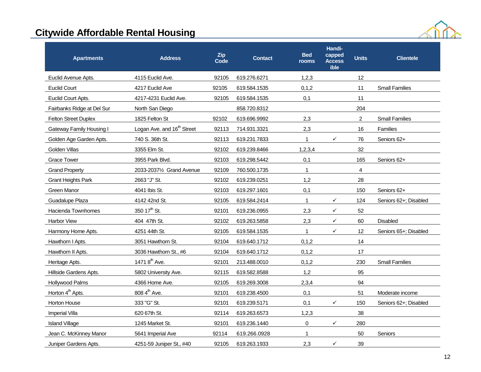

| <b>Apartments</b>            | <b>Address</b>                         | Zip<br>Code | <b>Contact</b> | <b>Bed</b><br>rooms | Handi-<br>capped<br><b>Access</b><br>ible | <b>Units</b>   | <b>Clientele</b>      |
|------------------------------|----------------------------------------|-------------|----------------|---------------------|-------------------------------------------|----------------|-----------------------|
| Euclid Avenue Apts.          | 4115 Euclid Ave.                       | 92105       | 619.276.6271   | 1,2,3               |                                           | 12             |                       |
| <b>Euclid Court</b>          | 4217 Euclid Ave                        | 92105       | 619.584.1535   | 0, 1, 2             |                                           | 11             | <b>Small Families</b> |
| Euclid Court Apts.           | 4217-4231 Euclid Ave.                  | 92105       | 619.584.1535   | 0,1                 |                                           | 11             |                       |
| Fairbanks Ridge at Del Sur   | North San Diego                        |             | 858.720.8312   |                     |                                           | 204            |                       |
| <b>Felton Street Duplex</b>  | 1825 Felton St                         | 92102       | 619.696.9992   | 2,3                 |                                           | $\overline{2}$ | <b>Small Families</b> |
| Gateway Family Housing I     | Logan Ave. and 16 <sup>th</sup> Street | 92113       | 714.931.3321   | 2,3                 |                                           | 16             | <b>Families</b>       |
| Golden Age Garden Apts.      | 740 S. 36th St.                        | 92113       | 619.231.7833   | $\mathbf{1}$        | ✓                                         | 76             | Seniors 62+           |
| Golden Villas                | 3355 Elm St.                           | 92102       | 619.239.8466   | 1,2,3,4             |                                           | 32             |                       |
| <b>Grace Tower</b>           | 3955 Park Blvd.                        | 92103       | 619.298.5442   | 0,1                 |                                           | 165            | Seniors 62+           |
| <b>Grand Property</b>        | 2033-20371/2 Grand Avenue              | 92109       | 760.500.1735   | 1                   |                                           | 4              |                       |
| <b>Grant Heights Park</b>    | 2663 "J" St.                           | 92102       | 619.239.0251   | 1,2                 |                                           | 28             |                       |
| Green Manor                  | 4041 Ibis St.                          | 92103       | 619.297.1601   | 0,1                 |                                           | 150            | Seniors 62+           |
| Guadalupe Plaza              | 4142 42nd St.                          | 92105       | 619.584.2414   | $\mathbf{1}$        | ✓                                         | 124            | Seniors 62+; Disabled |
| Hacienda Townhomes           | 350 17 <sup>th</sup> St.               | 92101       | 619.236.0955   | 2,3                 | $\checkmark$                              | 52             |                       |
| Harbor View                  | 404 47th St.                           | 92102       | 619.263.5858   | 2,3                 | ✓                                         | 60             | <b>Disabled</b>       |
| Harmony Home Apts.           | 4251 44th St.                          | 92105       | 619.584.1535   | $\mathbf{1}$        | $\checkmark$                              | 12             | Seniors 65+; Disabled |
| Hawthorn I Apts.             | 3051 Hawthorn St.                      | 92104       | 619.640.1712   | 0,1,2               |                                           | 14             |                       |
| Hawthorn II Apts.            | 3036 Hawthorn St., #6                  | 92104       | 619.640.1712   | 0, 1, 2             |                                           | 17             |                       |
| Heritage Apts.               | 14718 <sup>th</sup> Ave.               | 92101       | 213.488.0010   | 0, 1, 2             |                                           | 230            | <b>Small Families</b> |
| Hillside Gardens Apts.       | 5802 University Ave.                   | 92115       | 619.582.8588   | 1,2                 |                                           | 95             |                       |
| Hollywood Palms              | 4366 Home Ave.                         | 92105       | 619.269.3008   | 2,3,4               |                                           | 94             |                       |
| Horton 4 <sup>th</sup> Apts. | 808 4 <sup>th</sup> Ave.               | 92101       | 619.238.4500   | 0,1                 |                                           | 51             | Moderate income       |
| Horton House                 | 333 "G" St.                            | 92101       | 619.239.5171   | 0,1                 | ✓                                         | 150            | Seniors 62+; Disabled |
| Imperial Villa               | 620 67th St.                           | 92114       | 619.263.6573   | 1,2,3               |                                           | 38             |                       |
| <b>Island Village</b>        | 1245 Market St.                        | 92101       | 619.236.1440   | $\boldsymbol{0}$    | ✓                                         | 280            |                       |
| Jean C. McKinney Manor       | 5641 Imperial Ave                      | 92114       | 619.266.0928   | 1                   |                                           | 50             | Seniors               |
| Juniper Gardens Apts.        | 4251-59 Juniper St., #40               | 92105       | 619.263.1933   | 2,3                 | ✓                                         | 39             |                       |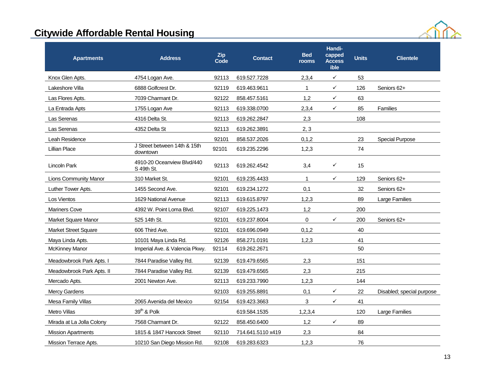

| <b>Apartments</b>            | <b>Address</b>                           | <b>Zip</b><br>Code | <b>Contact</b>    | <b>Bed</b><br>rooms | Handi-<br>capped<br><b>Access</b><br>ible | <b>Units</b> | <b>Clientele</b>          |
|------------------------------|------------------------------------------|--------------------|-------------------|---------------------|-------------------------------------------|--------------|---------------------------|
| Knox Glen Apts.              | 4754 Logan Ave.                          | 92113              | 619.527.7228      | 2,3,4               | $\checkmark$                              | 53           |                           |
| Lakeshore Villa              | 6888 Golfcrest Dr.                       | 92119              | 619.463.9611      | 1                   | $\checkmark$                              | 126          | Seniors 62+               |
| Las Flores Apts.             | 7039 Charmant Dr.                        | 92122              | 858.457.5161      | 1,2                 | $\checkmark$                              | 63           |                           |
| La Entrada Apts              | 1755 Logan Ave                           | 92113              | 619.338.0700      | 2,3,4               | ✓                                         | 85           | <b>Families</b>           |
| Las Serenas                  | 4316 Delta St.                           | 92113              | 619.262.2847      | 2,3                 |                                           | 108          |                           |
| Las Serenas                  | 4352 Delta St                            | 92113              | 619.262.3891      | 2, 3                |                                           |              |                           |
| Leah Residence               |                                          | 92101              | 858.537.2026      | 0, 1, 2             |                                           | 23           | <b>Special Purpose</b>    |
| <b>Lillian Place</b>         | J Street between 14th & 15th<br>downtown | 92101              | 619.235.2296      | 1,2,3               |                                           | 74           |                           |
| Lincoln Park                 | 4910-20 Oceanview Blvd/440<br>S 49th St. | 92113              | 619.262.4542      | 3,4                 | ✓                                         | 15           |                           |
| <b>Lions Community Manor</b> | 310 Market St.                           | 92101              | 619.235.4433      | $\mathbf{1}$        | ✓                                         | 129          | Seniors 62+               |
| Luther Tower Apts.           | 1455 Second Ave.                         | 92101              | 619.234.1272      | 0,1                 |                                           | 32           | Seniors 62+               |
| Los Vientos                  | 1629 National Avenue                     | 92113              | 619.615.8797      | 1,2,3               |                                           | 89           | Large Families            |
| <b>Mariners Cove</b>         | 4392 W. Point Loma Blvd.                 | 92107              | 619.225.1473      | 1,2                 |                                           | 200          |                           |
| Market Square Manor          | 525 14th St.                             | 92101              | 619.237.8004      | 0                   | $\checkmark$                              | 200          | Seniors 62+               |
| Market Street Square         | 606 Third Ave.                           | 92101              | 619.696.0949      | 0, 1, 2             |                                           | 40           |                           |
| Maya Linda Apts.             | 10101 Maya Linda Rd.                     | 92126              | 858.271.0191      | 1,2,3               |                                           | 41           |                           |
| <b>McKinney Manor</b>        | Imperial Ave. & Valencia Pkwy.           | 92114              | 619.262.2671      |                     |                                           | 50           |                           |
| Meadowbrook Park Apts. I     | 7844 Paradise Valley Rd.                 | 92139              | 619.479.6565      | 2,3                 |                                           | 151          |                           |
| Meadowbrook Park Apts. II    | 7844 Paradise Valley Rd.                 | 92139              | 619.479.6565      | 2,3                 |                                           | 215          |                           |
| Mercado Apts.                | 2001 Newton Ave.                         | 92113              | 619.233.7990      | 1,2,3               |                                           | 144          |                           |
| Mercy Gardens                |                                          | 92103              | 619.255.8891      | 0,1                 | $\checkmark$                              | 22           | Disabled; special purpose |
| Mesa Family Villas           | 2065 Avenida del Mexico                  | 92154              | 619.423.3663      | 3                   | $\checkmark$                              | 41           |                           |
| <b>Metro Villas</b>          | $39th$ & Polk                            |                    | 619.584.1535      | 1,2,3,4             |                                           | 120          | Large Families            |
| Mirada at La Jolla Colony    | 7568 Charmant Dr.                        | 92122              | 858.450.6400      | 1,2                 | $\checkmark$                              | 89           |                           |
| <b>Mission Apartments</b>    | 1815 & 1847 Hancock Street               | 92110              | 714.641.5110 x419 | 2,3                 |                                           | 84           |                           |
| Mission Terrace Apts.        | 10210 San Diego Mission Rd.              | 92108              | 619.283.6323      | 1,2,3               |                                           | 76           |                           |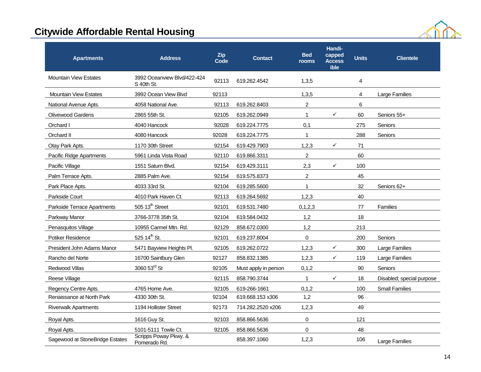

| <b>Apartments</b>               | <b>Address</b>                            | <b>Zip</b><br>Code | <b>Contact</b>       | <b>Bed</b><br>rooms | Handi-<br>capped<br><b>Access</b><br>ible | <b>Units</b> | <b>Clientele</b>          |
|---------------------------------|-------------------------------------------|--------------------|----------------------|---------------------|-------------------------------------------|--------------|---------------------------|
| <b>Mountain View Estates</b>    | 3992 Oceanview Blvd/422-424<br>S 40th St. | 92113              | 619.262.4542         | 1,3,5               |                                           | 4            |                           |
| <b>Mountain View Estates</b>    | 3992 Ocean View Blvd                      | 92113              |                      | 1.3.5               |                                           | 4            | <b>Large Families</b>     |
| National Avenue Apts.           | 4058 National Ave.                        | 92113              | 619.262.8403         | 2                   |                                           | 6            |                           |
| <b>Olivewood Gardens</b>        | 2865 55th St.                             | 92105              | 619.262.0949         | $\mathbf{1}$        | ✓                                         | 60           | Seniors 55+               |
| Orchard I                       | 4040 Hancock                              | 92028              | 619.224.7775         | 0,1                 |                                           | 275          | Seniors                   |
| Orchard II                      | 4080 Hancock                              | 92028              | 619.224.7775         | $\mathbf{1}$        |                                           | 288          | Seniors                   |
| Otay Park Apts.                 | 1170 30th Street                          | 92154              | 619.429.7903         | 1,2,3               | ✓                                         | 71           |                           |
| Pacific Ridge Apartments        | 5961 Linda Vista Road                     | 92110              | 619.866.3311         | 2                   |                                           | 60           |                           |
| Pacific Village                 | 1551 Saturn Blvd.                         | 92154              | 619.429.3111         | 2,3                 | ✓                                         | 100          |                           |
| Palm Terrace Apts.              | 2885 Palm Ave.                            | 92154              | 619.575.8373         | $\overline{c}$      |                                           | 45           |                           |
| Park Place Apts.                | 4033 33rd St.                             | 92104              | 619.285.5600         | $\mathbf{1}$        |                                           | 32           | Seniors 62+               |
| Parkside Court                  | 4010 Park Haven Ct.                       | 92113              | 619.264.5692         | 1,2,3               |                                           | 40           |                           |
| Parkside Terrace Apartments     | 505 13 <sup>th</sup> Street               | 92101              | 619.531.7480         | 0,1,2,3             |                                           | 77           | <b>Families</b>           |
| Parkway Manor                   | 3766-3778 35th St.                        | 92104              | 619.584.0432         | 1,2                 |                                           | 18           |                           |
| Penasquitos Village             | 10955 Carmel Mtn. Rd.                     | 92129              | 858.672.0300         | 1,2                 |                                           | 213          |                           |
| Potiker Residence               | 525 14 <sup>th</sup> St.                  | 92101              | 619.237.8004         | 0                   |                                           | 200          | Seniors                   |
| President John Adams Manor      | 5471 Bayview Heights Pl.                  | 92105              | 619.262.0722         | 1,2,3               | $\checkmark$                              | 300          | Large Families            |
| Rancho del Norte                | 16700 Saintbury Glen                      | 92127              | 858.832.1385         | 1,2,3               | ✓                                         | 119          | Large Families            |
| <b>Redwood Villas</b>           | 3060 53rd St                              | 92105              | Must apply in person | 0,1,2               |                                           | 90           | Seniors                   |
| Reese Village                   |                                           | 92115              | 858.790.3744         | $\mathbf{1}$        | ✓                                         | 18           | Disabled; special purpose |
| Regency Centre Apts.            | 4765 Home Ave.                            | 92105              | 619-266-1661         | 0,1,2               |                                           | 100          | <b>Small Families</b>     |
| Renaissance at North Park       | 4330 30th St.                             | 92104              | 619.668.153 x306     | 1,2                 |                                           | 96           |                           |
| <b>Riverwalk Apartments</b>     | 1194 Hollister Street                     | 92173              | 714.282.2520 x206    | 1,2,3               |                                           | 49           |                           |
| Royal Apts.                     | 1616 Guy St.                              | 92103              | 858.866.5636         | 0                   |                                           | 121          |                           |
| Royal Apts.                     | 5101-5111 Towle Ct.                       | 92105              | 858.866.5636         | 0                   |                                           | 48           |                           |
| Sagewood at StoneBridge Estates | Scripps Poway Pkwy. &<br>Pomerado Rd.     |                    | 858.397.1060         | 1,2,3               |                                           | 106          | <b>Large Families</b>     |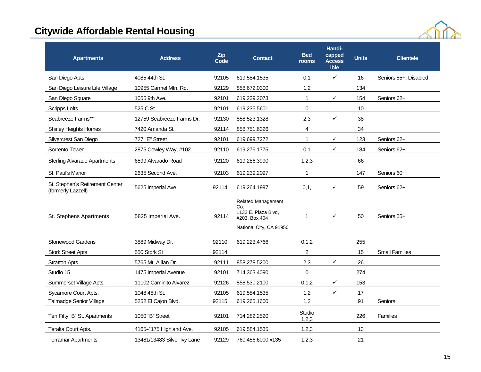

| <b>Apartments</b>                                     | <b>Address</b>              | Zip<br>Code | <b>Contact</b>                                                                                      | <b>Bed</b><br>rooms | Handi-<br>capped<br><b>Access</b><br>ible | <b>Units</b> | <b>Clientele</b>      |
|-------------------------------------------------------|-----------------------------|-------------|-----------------------------------------------------------------------------------------------------|---------------------|-------------------------------------------|--------------|-----------------------|
| San Diego Apts.                                       | 4085 44th St.               | 92105       | 619.584.1535                                                                                        | 0,1                 | $\checkmark$                              | 16           | Seniors 55+; Disabled |
| San Diego Leisure Life Village                        | 10955 Carmel Mtn. Rd.       | 92129       | 858.672.0300                                                                                        | 1,2                 |                                           | 134          |                       |
| San Diego Square                                      | 1055 9th Ave.               | 92101       | 619.239.2073                                                                                        | $\mathbf{1}$        | $\checkmark$                              | 154          | Seniors 62+           |
| <b>Scripps Lofts</b>                                  | 525 C St.                   | 92101       | 619.235.5601                                                                                        | $\mathbf 0$         |                                           | 10           |                       |
| Seabreeze Farms**                                     | 12759 Seabreeze Farms Dr.   | 92130       | 858.523.1328                                                                                        | 2,3                 | $\checkmark$                              | 38           |                       |
| <b>Shirley Heights Homes</b>                          | 7420 Amanda St.             | 92114       | 858.751.6326                                                                                        | 4                   |                                           | 34           |                       |
| Silvercrest San Diego                                 | 727 "E" Street              | 92101       | 619.699.7272                                                                                        | $\mathbf{1}$        | ✓                                         | 123          | Seniors 62+           |
| Sorrento Tower                                        | 2875 Cowley Way, #102       | 92110       | 619.276.1775                                                                                        | 0,1                 | $\checkmark$                              | 184          | Seniors 62+           |
| <b>Sterling Alvarado Apartments</b>                   | 6599 Alvarado Road          | 92120       | 619.286.3990                                                                                        | 1,2,3               |                                           | 66           |                       |
| St. Paul's Manor                                      | 2635 Second Ave.            | 92103       | 619.239.2097                                                                                        | 1                   |                                           | 147          | Seniors 60+           |
| St. Stephen's Retirement Center<br>(formerly Lazzell) | 5625 Imperial Ave           | 92114       | 619.264.1997                                                                                        | 0,1,                | $\checkmark$                              | 59           | Seniors 62+           |
| St. Stephens Apartments                               | 5825 Imperial Ave.          | 92114       | <b>Related Management</b><br>Co.<br>1132 E. Plaza Blvd,<br>#203, Box 404<br>National City, CA 91950 | $\mathbf{1}$        | $\checkmark$                              | 50           | Seniors 55+           |
| Stonewood Gardens                                     | 3889 Midway Dr.             | 92110       | 619.223.4766                                                                                        | 0, 1, 2             |                                           | 255          |                       |
| <b>Stork Street Apts</b>                              | 550 Stork St                | 92114       |                                                                                                     | $\overline{2}$      |                                           | 15           | <b>Small Families</b> |
| Stratton Apts.                                        | 5765 Mt. Alifan Dr.         | 92111       | 858.278.5200                                                                                        | 2,3                 | $\checkmark$                              | 26           |                       |
| Studio 15                                             | 1475 Imperial Avenue        | 92101       | 714.363.4090                                                                                        | 0                   |                                           | 274          |                       |
| Summerset Village Apts.                               | 11102 Caminito Alvarez      | 92126       | 858.530.2100                                                                                        | 0, 1, 2             | $\checkmark$                              | 153          |                       |
| Sycamore Court Apts.                                  | 1048 48th St.               | 92105       | 619.584.1535                                                                                        | 1,2                 | $\checkmark$                              | 17           |                       |
| <b>Talmadge Senior Village</b>                        | 5252 El Cajon Blvd.         | 92115       | 619.265.1600                                                                                        | 1,2                 |                                           | 91           | Seniors               |
| Ten Fifty "B" St. Apartments                          | 1050 "B" Street             | 92101       | 714.282.2520                                                                                        | Studio<br>1,2,3     |                                           | 226          | <b>Families</b>       |
| Teralta Court Apts.                                   | 4165-4175 Highland Ave.     | 92105       | 619.584.1535                                                                                        | 1,2,3               |                                           | 13           |                       |
| <b>Terramar Apartments</b>                            | 13481/13483 Silver Ivy Lane | 92129       | 760.456.6000 x135                                                                                   | 1,2,3               |                                           | 21           |                       |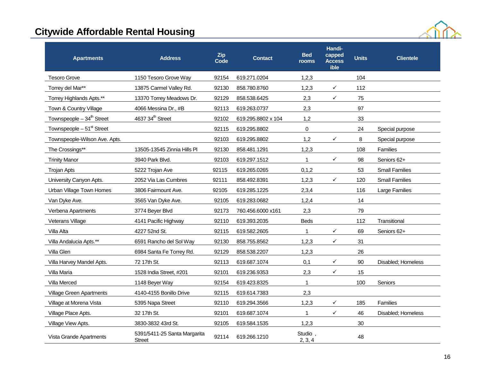

| <b>Apartments</b>                     | <b>Address</b>                         | <b>Zip</b><br>Code | <b>Contact</b>     | <b>Bed</b><br>rooms | Handi-<br>capped<br><b>Access</b><br>ible | <b>Units</b> | <b>Clientele</b>      |
|---------------------------------------|----------------------------------------|--------------------|--------------------|---------------------|-------------------------------------------|--------------|-----------------------|
| <b>Tesoro Grove</b>                   | 1150 Tesoro Grove Way                  | 92154              | 619.271.0204       | 1,2,3               |                                           | 104          |                       |
| Torrey del Mar**                      | 13875 Carmel Valley Rd.                | 92130              | 858.780.8760       | 1,2,3               | $\checkmark$                              | 112          |                       |
| Torrey Highlands Apts.**              | 13370 Torrey Meadows Dr.               | 92129              | 858.538.6425       | 2,3                 | ✓                                         | 75           |                       |
| Town & Country Village                | 4066 Messina Dr., #B                   | 92113              | 619.263.0737       | 2,3                 |                                           | 97           |                       |
| Townspeople $-34th$ Street            | 4637 34 <sup>th</sup> Street           | 92102              | 619.295.8802 x 104 | 1,2                 |                                           | 33           |                       |
| Townspeople - 51 <sup>st</sup> Street |                                        | 92115              | 619.295.8802       | $\mathbf 0$         |                                           | 24           | Special purpose       |
| Townspeople-Wilson Ave. Apts.         |                                        | 92103              | 619.295.8802       | 1,2                 | $\checkmark$                              | 8            | Special purpose       |
| The Crossings**                       | 13505-13545 Zinnia Hills Pl            | 92130              | 858.481.1291       | 1,2,3               |                                           | 108          | <b>Families</b>       |
| <b>Trinity Manor</b>                  | 3940 Park Blvd.                        | 92103              | 619.297.1512       | $\mathbf{1}$        | $\checkmark$                              | 98           | Seniors 62+           |
| Trojan Apts                           | 5222 Trojan Ave                        | 92115              | 619.265.0265       | 0,1,2               |                                           | 53           | <b>Small Families</b> |
| University Canyon Apts.               | 2052 Via Las Cumbres                   | 92111              | 858.492.8391       | 1,2,3               | $\checkmark$                              | 120          | <b>Small Families</b> |
| Urban Village Town Homes              | 3806 Fairmount Ave.                    | 92105              | 619.285.1225       | 2,3,4               |                                           | 116          | Large Families        |
| Van Dyke Ave.                         | 3565 Van Dyke Ave.                     | 92105              | 619.283.0682       | 1,2,4               |                                           | 14           |                       |
| Verbena Apartments                    | 3774 Beyer Blvd                        | 92173              | 760.456.6000 x161  | 2,3                 |                                           | 79           |                       |
| Veterans Village                      | 4141 Pacific Highway                   | 92110              | 619.393.2035       | <b>Beds</b>         |                                           | 112          | Transitional          |
| Villa Alta                            | 4227 52nd St.                          | 92115              | 619.582.2605       | 1                   | ✓                                         | 69           | Seniors 62+           |
| Villa Andalucia Apts.**               | 6591 Rancho del Sol Way                | 92130              | 858.755.8562       | 1,2,3               | $\checkmark$                              | 31           |                       |
| Villa Glen                            | 6984 Santa Fe Torrey Rd.               | 92129              | 858.538.2207       | 1,2,3               |                                           | 26           |                       |
| Villa Harvey Mandel Apts.             | 72 17th St.                            | 92113              | 619.687.1074       | 0,1                 | ✓                                         | 90           | Disabled: Homeless    |
| Villa Maria                           | 1528 India Street, #201                | 92101              | 619.236.9353       | 2,3                 | $\checkmark$                              | 15           |                       |
| Villa Merced                          | 1148 Beyer Way                         | 92154              | 619.423.8325       | $\mathbf{1}$        |                                           | 100          | Seniors               |
| <b>Village Green Apartments</b>       | 4140-4155 Bonillo Drive                | 92115              | 619.614.7383       | 2,3                 |                                           |              |                       |
| Village at Morena Vista               | 5395 Napa Street                       | 92110              | 619.294.3566       | 1,2,3               | $\checkmark$                              | 185          | Families              |
| Village Place Apts.                   | 32 17th St.                            | 92101              | 619.687.1074       | $\mathbf{1}$        | $\checkmark$                              | 46           | Disabled; Homeless    |
| Village View Apts.                    | 3830-3832 43rd St.                     | 92105              | 619.584.1535       | 1,2,3               |                                           | 30           |                       |
| Vista Grande Apartments               | 5391/5411-25 Santa Margarita<br>Street | 92114              | 619.266.1210       | Studio,<br>2, 3, 4  |                                           | 48           |                       |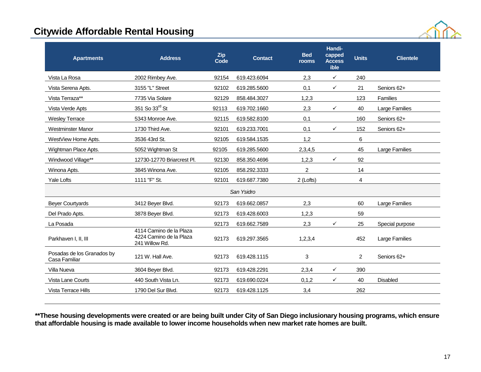

| Vista La Rosa<br>2002 Rimbey Ave.<br>92154<br>619.423.6094<br>2.3<br>$\checkmark$<br>240<br>0,1<br>Seniors 62+<br>Vista Serena Apts.<br>3155 "L" Street<br>92102<br>619.285.5600<br>✓<br>21<br>Vista Terraza**<br>7735 Via Solare<br>92129<br>858.484.3027<br>1,2,3<br>123<br>Families<br>351 So 33rd St<br>92113<br>619.702.1660<br>2,3<br>✓<br>40<br>Large Families<br>Vista Verde Apts<br><b>Wesley Terrace</b><br>5343 Monroe Ave.<br>92115<br>619.582.8100<br>0,1<br>160<br>Seniors 62+<br>$\checkmark$<br>152<br><b>Westminster Manor</b><br>1730 Third Ave.<br>92101<br>619.233.7001<br>0,1<br>Seniors 62+<br>1,2<br>6<br>WestView Home Apts.<br>3536 43rd St.<br>92105<br>619.584.1535<br>2,3,4,5<br>45<br>Large Families<br>Wightman Place Apts.<br>5052 Wightman St<br>92105<br>619.285.5600<br>$\checkmark$<br>92<br>Windwood Village**<br>12730-12770 Briarcrest Pl.<br>92130<br>858.350.4696<br>1,2,3<br>$\overline{2}$<br>14<br>3845 Winona Ave.<br>92105<br>858.292.3333<br>Winona Apts.<br>1111 "F" St.<br>619.687.7380<br>Yale Lofts<br>92101<br>2 (Lofts)<br>4<br>San Ysidro<br>2,3<br>60<br><b>Beyer Courtyards</b><br>3412 Beyer Blvd.<br>92173<br>Large Families<br>619.662.0857<br>1,2,3<br>59<br>Del Prado Apts.<br>3878 Beyer Blvd.<br>92173<br>619.428.6003<br>2,3<br>La Posada<br>92173<br>25<br>619.662.7589<br>✓<br>Special purpose<br>4114 Camino de la Plaza<br>4224 Camino de la Plaza<br>Parkhaven I, II, III<br>92173<br>452<br>619.297.3565<br>1,2,3,4<br>Large Families<br>241 Willow Rd.<br>Posadas de los Granados by<br>3<br>121 W. Hall Ave.<br>92173<br>619.428.1115<br>$\overline{2}$<br>Seniors 62+<br>Casa Familiar<br>2,3,4<br>390<br>Villa Nueva<br>3604 Beyer Blvd.<br>92173<br>619.428.2291<br>✓<br>0, 1, 2<br>$\checkmark$<br>Vista Lane Courts<br>440 South Vista Ln.<br>92173<br>619.690.0224<br>40<br>Disabled | <b>Apartments</b>   | <b>Address</b>     | <b>Zip</b><br>Code | <b>Contact</b> | <b>Bed</b><br>rooms | Handi-<br>capped<br><b>Access</b><br>ible | <b>Units</b> | <b>Clientele</b> |
|-------------------------------------------------------------------------------------------------------------------------------------------------------------------------------------------------------------------------------------------------------------------------------------------------------------------------------------------------------------------------------------------------------------------------------------------------------------------------------------------------------------------------------------------------------------------------------------------------------------------------------------------------------------------------------------------------------------------------------------------------------------------------------------------------------------------------------------------------------------------------------------------------------------------------------------------------------------------------------------------------------------------------------------------------------------------------------------------------------------------------------------------------------------------------------------------------------------------------------------------------------------------------------------------------------------------------------------------------------------------------------------------------------------------------------------------------------------------------------------------------------------------------------------------------------------------------------------------------------------------------------------------------------------------------------------------------------------------------------------------------------------------------------------------------------------------------------------------------------------------|---------------------|--------------------|--------------------|----------------|---------------------|-------------------------------------------|--------------|------------------|
|                                                                                                                                                                                                                                                                                                                                                                                                                                                                                                                                                                                                                                                                                                                                                                                                                                                                                                                                                                                                                                                                                                                                                                                                                                                                                                                                                                                                                                                                                                                                                                                                                                                                                                                                                                                                                                                                   |                     |                    |                    |                |                     |                                           |              |                  |
|                                                                                                                                                                                                                                                                                                                                                                                                                                                                                                                                                                                                                                                                                                                                                                                                                                                                                                                                                                                                                                                                                                                                                                                                                                                                                                                                                                                                                                                                                                                                                                                                                                                                                                                                                                                                                                                                   |                     |                    |                    |                |                     |                                           |              |                  |
|                                                                                                                                                                                                                                                                                                                                                                                                                                                                                                                                                                                                                                                                                                                                                                                                                                                                                                                                                                                                                                                                                                                                                                                                                                                                                                                                                                                                                                                                                                                                                                                                                                                                                                                                                                                                                                                                   |                     |                    |                    |                |                     |                                           |              |                  |
|                                                                                                                                                                                                                                                                                                                                                                                                                                                                                                                                                                                                                                                                                                                                                                                                                                                                                                                                                                                                                                                                                                                                                                                                                                                                                                                                                                                                                                                                                                                                                                                                                                                                                                                                                                                                                                                                   |                     |                    |                    |                |                     |                                           |              |                  |
|                                                                                                                                                                                                                                                                                                                                                                                                                                                                                                                                                                                                                                                                                                                                                                                                                                                                                                                                                                                                                                                                                                                                                                                                                                                                                                                                                                                                                                                                                                                                                                                                                                                                                                                                                                                                                                                                   |                     |                    |                    |                |                     |                                           |              |                  |
|                                                                                                                                                                                                                                                                                                                                                                                                                                                                                                                                                                                                                                                                                                                                                                                                                                                                                                                                                                                                                                                                                                                                                                                                                                                                                                                                                                                                                                                                                                                                                                                                                                                                                                                                                                                                                                                                   |                     |                    |                    |                |                     |                                           |              |                  |
|                                                                                                                                                                                                                                                                                                                                                                                                                                                                                                                                                                                                                                                                                                                                                                                                                                                                                                                                                                                                                                                                                                                                                                                                                                                                                                                                                                                                                                                                                                                                                                                                                                                                                                                                                                                                                                                                   |                     |                    |                    |                |                     |                                           |              |                  |
|                                                                                                                                                                                                                                                                                                                                                                                                                                                                                                                                                                                                                                                                                                                                                                                                                                                                                                                                                                                                                                                                                                                                                                                                                                                                                                                                                                                                                                                                                                                                                                                                                                                                                                                                                                                                                                                                   |                     |                    |                    |                |                     |                                           |              |                  |
|                                                                                                                                                                                                                                                                                                                                                                                                                                                                                                                                                                                                                                                                                                                                                                                                                                                                                                                                                                                                                                                                                                                                                                                                                                                                                                                                                                                                                                                                                                                                                                                                                                                                                                                                                                                                                                                                   |                     |                    |                    |                |                     |                                           |              |                  |
|                                                                                                                                                                                                                                                                                                                                                                                                                                                                                                                                                                                                                                                                                                                                                                                                                                                                                                                                                                                                                                                                                                                                                                                                                                                                                                                                                                                                                                                                                                                                                                                                                                                                                                                                                                                                                                                                   |                     |                    |                    |                |                     |                                           |              |                  |
|                                                                                                                                                                                                                                                                                                                                                                                                                                                                                                                                                                                                                                                                                                                                                                                                                                                                                                                                                                                                                                                                                                                                                                                                                                                                                                                                                                                                                                                                                                                                                                                                                                                                                                                                                                                                                                                                   |                     |                    |                    |                |                     |                                           |              |                  |
|                                                                                                                                                                                                                                                                                                                                                                                                                                                                                                                                                                                                                                                                                                                                                                                                                                                                                                                                                                                                                                                                                                                                                                                                                                                                                                                                                                                                                                                                                                                                                                                                                                                                                                                                                                                                                                                                   |                     |                    |                    |                |                     |                                           |              |                  |
|                                                                                                                                                                                                                                                                                                                                                                                                                                                                                                                                                                                                                                                                                                                                                                                                                                                                                                                                                                                                                                                                                                                                                                                                                                                                                                                                                                                                                                                                                                                                                                                                                                                                                                                                                                                                                                                                   |                     |                    |                    |                |                     |                                           |              |                  |
|                                                                                                                                                                                                                                                                                                                                                                                                                                                                                                                                                                                                                                                                                                                                                                                                                                                                                                                                                                                                                                                                                                                                                                                                                                                                                                                                                                                                                                                                                                                                                                                                                                                                                                                                                                                                                                                                   |                     |                    |                    |                |                     |                                           |              |                  |
|                                                                                                                                                                                                                                                                                                                                                                                                                                                                                                                                                                                                                                                                                                                                                                                                                                                                                                                                                                                                                                                                                                                                                                                                                                                                                                                                                                                                                                                                                                                                                                                                                                                                                                                                                                                                                                                                   |                     |                    |                    |                |                     |                                           |              |                  |
|                                                                                                                                                                                                                                                                                                                                                                                                                                                                                                                                                                                                                                                                                                                                                                                                                                                                                                                                                                                                                                                                                                                                                                                                                                                                                                                                                                                                                                                                                                                                                                                                                                                                                                                                                                                                                                                                   |                     |                    |                    |                |                     |                                           |              |                  |
|                                                                                                                                                                                                                                                                                                                                                                                                                                                                                                                                                                                                                                                                                                                                                                                                                                                                                                                                                                                                                                                                                                                                                                                                                                                                                                                                                                                                                                                                                                                                                                                                                                                                                                                                                                                                                                                                   |                     |                    |                    |                |                     |                                           |              |                  |
|                                                                                                                                                                                                                                                                                                                                                                                                                                                                                                                                                                                                                                                                                                                                                                                                                                                                                                                                                                                                                                                                                                                                                                                                                                                                                                                                                                                                                                                                                                                                                                                                                                                                                                                                                                                                                                                                   |                     |                    |                    |                |                     |                                           |              |                  |
|                                                                                                                                                                                                                                                                                                                                                                                                                                                                                                                                                                                                                                                                                                                                                                                                                                                                                                                                                                                                                                                                                                                                                                                                                                                                                                                                                                                                                                                                                                                                                                                                                                                                                                                                                                                                                                                                   |                     |                    |                    |                |                     |                                           |              |                  |
|                                                                                                                                                                                                                                                                                                                                                                                                                                                                                                                                                                                                                                                                                                                                                                                                                                                                                                                                                                                                                                                                                                                                                                                                                                                                                                                                                                                                                                                                                                                                                                                                                                                                                                                                                                                                                                                                   | Vista Terrace Hills | 1790 Del Sur Blvd. | 92173              | 619.428.1125   | 3,4                 |                                           | 262          |                  |

**\*\*These housing developments were created or are being built under City of San Diego inclusionary housing programs, which ensure that affordable housing is made available to lower income households when new market rate homes are built.**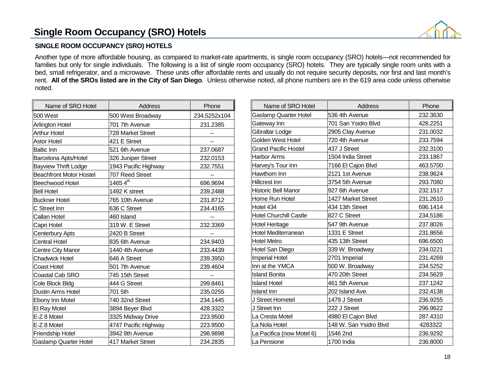### **Single Room Occupancy (SRO) Hotels**



### **SINGLE ROOM OCCUPANCY (SRO) HOTELS**

Another type of more affordable housing, as compared to market-rate apartments, is single room occupancy (SRO) hotels—not recommended for families but only for single individuals. The following is a list of single room occupancy (SRO) hotels. They are typically single room units with a bed, small refrigerator, and a microwave. These units offer affordable rents and usually do not require security deposits, nor first and last month's rent. **All of the SROs listed are in the City of San Diego**. Unless otherwise noted, all phone numbers are in the 619 area code unless otherwise noted.

| Name of SRO Hotel              | Address                  | Phone          |
|--------------------------------|--------------------------|----------------|
| 500 West                       | 500 West Broadway        | 234.5252x104   |
| Arlington Hotel                | 701 7th Avenue           | 231.2385       |
| <b>Arthur Hotel</b>            | <b>728 Market Street</b> | --             |
| <b>Astor Hotel</b>             | 421 E Street             | $\overline{a}$ |
| <b>Baltic Inn</b>              | 521 6th Avenue           | 237.0687       |
| <b>Barcelona Apts/Hotel</b>    | 326 Juniper Street       | 232.0153       |
| <b>Bayview Thrift Lodge</b>    | 1943 Pacific Highway     | 232.7551       |
| <b>Beachfront Motor Hostel</b> | 707 Reed Street          |                |
| Beechwood Hotel                | 1465 $4^{\text{th}}$     | 696.9694       |
| <b>Bell Hotel</b>              | 1492 K street            | 239.2488       |
| <b>Buckner Hotel</b>           | 765 10th Avenue          | 231.8712       |
| C Street Inn                   | 636 C Street             | 234.4165       |
| Callan Hotel                   | 460 Island               |                |
| Capri Hotel                    | 319 W. E Street          | 232.3369       |
| Centerbury Apts                | 2420 B Street            | --             |
| <b>Central Hotel</b>           | 835 6th Avenue           | 234.9403       |
| Centre City Manor              | 1440 4th Avenue          | 233.4439       |
| <b>Chadwick Hotel</b>          | 646 A Street             | 239.3950       |
| Coast Hotel                    | 501 7th Avenue           | 239.4604       |
| Coastal Cab SRO                | 745 15th Street          |                |
| Cole Block Bldg                | 444 G Street             | 299.8461       |
| Dustin Arms Hotel              | 701 5th                  | 235.0255       |
| <b>Ebony Inn Motel</b>         | 740 32nd Street          | 234.1445       |
| El Ray Motel                   | 3894 Beyer Blvd          | 428.3322       |
| E-Z 8 Motel                    | 3325 Midway Drive        | 223.9500       |
| E-Z 8 Motel                    | 4747 Pacific Highway     | 223.9500       |
| Friendship Hotel               | 3942 8th Avenue          | 298.9898       |
| <b>Gaslamp Quarter Hotel</b>   | 417 Market Street        | 234.2835       |

| Name of SRO Hotel             | Address                | Phone    |
|-------------------------------|------------------------|----------|
| Gaslamp Quarter Hotel         | 536 4th Avenue         | 232.3630 |
| Gateway Inn                   | 701 San Ysidro Blvd    | 428.2251 |
| Gibraltar Lodge               | 2905 Clay Avenue       | 231.0032 |
| Golden West Hotel             | 720 4th Avenue         | 233.7594 |
| Grand Pacific Hostel          | 437 J Street           | 232.3100 |
| Harbor Arms                   | 1504 India Street      | 233.1867 |
| Harvey's Tour Inn             | 7166 El Cajon Blvd     | 463.5700 |
| Hawthorn Inn                  | 2121 1st Avenue        | 238.9624 |
| Hillcrest Inn                 | 3754 5th Avenue        | 293.7080 |
| <b>Historic Bell Manor</b>    | 927 6th Avenue         | 232.1517 |
| Home Run Hotel                | 1427 Market Street     | 231.2610 |
| Hotel 434                     | 434 13th Street        | 696.1414 |
| <b>Hotel Churchill Castle</b> | 827 C Street           | 234.5186 |
| <b>Hotel Heritage</b>         | 547 9th Avenue         | 237.8026 |
| Hotel Mediterranean           | 1331 E Street          | 231.8656 |
| Hotel Metro                   | 435 13th Street        | 696.6500 |
| Hotel San Diego               | 339 W. Broadway        | 234.0221 |
| <b>Imperial Hotel</b>         | 2701 Imperial          | 231.4269 |
| Inn at the YMCA               | 500 W. Broadway        | 234.5252 |
| <b>Island Bonita</b>          | 470 20th Street        | 234.5629 |
| <b>Island Hotel</b>           | 461 5th Avenue         | 237.1242 |
| <b>Island Inn</b>             | 202 Island Ave.        | 232.4138 |
| J Street Hometel              | 1479 J Street          | 236.9255 |
| J Street Inn                  | 222 J Street           | 296.9622 |
| La Cresta Motel               | 4980 El Cajon Blvd     | 287.4310 |
| La Nola Hotel                 | 148 W. San Ysidro Blvd | 4283322  |
| La Pacifica (now Motel 6)     | 1546 2nd               | 236.9292 |
| La Pensione                   | 1700 India             | 236.8000 |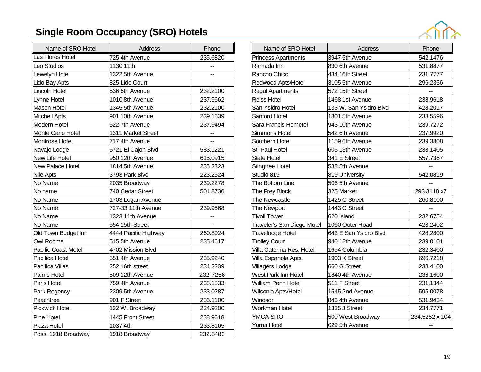# **Single Room Occupancy (SRO) Hotels**



| Name of SRO Hotel          | Address              | Phone    |
|----------------------------|----------------------|----------|
| Las Flores Hotel           | 725 4th Avenue       | 235.6820 |
| Leo Studios                | 1130 11th            | --       |
| Lewelyn Hotel              | 1322 5th Avenue      |          |
| Lido Bay Apts              | 825 Lido Court       |          |
| Lincoln Hotel              | 536 5th Avenue       | 232.2100 |
| Lynne Hotel                | 1010 8th Avenue      | 237.9662 |
| Mason Hotel                | 1345 5th Avenue      | 232.2100 |
| <b>Mitchell Apts</b>       | 901 10th Avenue      | 239.1639 |
| Modern Hotel               | 522 7th Avenue       | 237.9494 |
| Monte Carlo Hotel          | 1311 Market Street   |          |
| Montrose Hotel             | 717 4th Avenue       |          |
| Navajo Lodge               | 5721 El Cajon Blvd   | 583.1221 |
| New Life Hotel             | 950 12th Avenue      | 615.0915 |
| New Palace Hotel           | 1814 5th Avenue      | 235.2323 |
| Nile Apts                  | 3793 Park Blvd       | 223.2524 |
| No Name                    | 2035 Broadway        | 239.2278 |
| No name                    | 740 Cedar Street     | 501.8736 |
| No Name                    | 1703 Logan Avenue    |          |
| No Name                    | 727-33 11th Avenue   | 239.9568 |
| No Name                    | 1323 11th Avenue     |          |
| No Name                    | 554 15th Street      | --       |
| Old Town Budget Inn        | 4444 Pacific Highway | 260.8024 |
| <b>Owl Rooms</b>           | 515 5th Avenue       | 235.4617 |
| <b>Pacific Coast Motel</b> | 4702 Mission Blvd    |          |
| Pacifica Hotel             | 551 4th Avenue       | 235.9240 |
| Pacifica Villas            | 252 16th street      | 234.2239 |
| Palms Hotel                | 509 12th Avenue      | 232-7256 |
| Paris Hotel                | 759 4th Avenue       | 238.1833 |
| Park Regency               | 2309 5th Avenue      | 233.0287 |
| Peachtree                  | 901 F Street         | 233.1100 |
| Pickwick Hotel             | 132 W. Broadway      | 234.9200 |
| Pine Hotel                 | 1445 Front Street    | 238.9618 |
| Plaza Hotel                | 1037 4th             | 233.8165 |
| Poss. 1918 Broadway        | 1918 Broadway        | 232.8480 |

| Name of SRO Hotel          | Address                | Phone          |
|----------------------------|------------------------|----------------|
| <b>Princess Apartments</b> | 3947 5th Avenue        | 542.1476       |
| Ramada Inn                 | 830 6th Avenue         | 531.8877       |
| Rancho Chico               | 434 16th Street        | 231.7777       |
| Redwood Apts/Hotel         | 3105 5th Avenue        | 296.2356       |
| Regal Apartments           | 572 15th Street        | --             |
| <b>Reiss Hotel</b>         | 1468 1st Avenue        | 238.9618       |
| San Ysidro Hotel           | 133 W. San Ysidro Blvd | 428.2017       |
| Sanford Hotel              | 1301 5th Avenue        | 233.5596       |
| Sara Francis Hometel       | 943 10th Avenue        | 239.7272       |
| Simmons Hotel              | 542 6th Avenue         | 237.9920       |
| Southern Hotel             | 1159 6th Avenue        | 239.3808       |
| St. Paul Hotel             | 605 13th Avenue        | 233.1405       |
| <b>State Hotel</b>         | 341 E Street           | 557.7367       |
| Stingtree Hotel            | 538 5th Avenue         |                |
| Studio 819                 | 819 University         | 542.0819       |
| The Bottom Line            | 506 5th Avenue         |                |
| The Frey Block             | 325 Market             | 293.3118 x7    |
| The Newcastle              | 1425 C Street          | 260.8100       |
| The Newport                | 1443 C Street          |                |
| <b>Tivoli Tower</b>        | 620 Island             | 232.6754       |
| Traveler's San Diego Motel | 1060 Outer Road        | 423.2402       |
| Travelodge Hotel           | 643 E San Ysidro Blvd  | 428.2800       |
| <b>Trolley Court</b>       | 940 12th Avenue        | 239.0101       |
| Villa Caterina Res. Hotel  | 1654 Columbia          | 232.3400       |
| Villa Espanola Apts.       | 1903 K Street          | 696.7218       |
| Villagers Lodge            | 660 G Street           | 238.4100       |
| West Park Inn Hotel        | 1840 4th Avenue        | 236.1600       |
| William Penn Hotel         | 511 F Street           | 231.1344       |
| Wilsonia Apts/Hotel        | 1545 2nd Avenue        | 595.0078       |
| Windsor                    | 843 4th Avenue         | 531.9434       |
| Workman Hotel              | 1335 J Street          | 234.7771       |
| <b>YMCA SRO</b>            | 500 West Broadway      | 234.5252 x 104 |
| Yuma Hotel                 | 629 5th Avenue         | --             |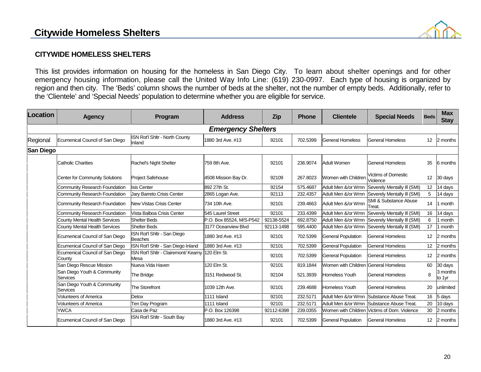### **Citywide Homeless Shelters**



### **CITYWIDE HOMELESS SHELTERS**

This list provides information on housing for the homeless in San Diego City. To learn about shelter openings and for other emergency housing information, please call the United Way Info Line: (619) 230-0997. Each type of housing is organized by region and then city. The 'Beds' column shows the number of beds at the shelter, not the number of empty beds. Additionally, refer to the 'Clientele' and 'Special Needs' population to determine whether you are eligible for service.

| Location  | <b>Agency</b>                             | Program                                      | <b>Address</b>           | <b>Zip</b> | <b>Phone</b> | <b>Clientele</b>                     | <b>Special Needs</b>                         | <b>Beds</b> | <b>Max</b><br><b>Stay</b> |
|-----------|-------------------------------------------|----------------------------------------------|--------------------------|------------|--------------|--------------------------------------|----------------------------------------------|-------------|---------------------------|
|           | <b>Emergency Shelters</b>                 |                                              |                          |            |              |                                      |                                              |             |                           |
| Regional  | Ecumenical Council of San Diego           | ISN Rot'l Shitr - North County<br>Inland     | 1880 3rd Ave. #13        | 92101      | 702.5399     | <b>General Homeless</b>              | <b>General Homeless</b>                      | 12          | 2 months                  |
| San Diego |                                           |                                              |                          |            |              |                                      |                                              |             |                           |
|           | <b>Catholic Charities</b>                 | Rachel's Night Shelter                       | 759 8th Ave.             | 92101      | 236.9074     | <b>Adult Women</b>                   | General Homeless                             | 35          | 6 months                  |
|           | <b>Center for Community Solutions</b>     | <b>Project Safehouse</b>                     | 4508 Mission Bay Dr.     | 92109      | 267.8023     | Women with Children                  | <b>Victims of Domestic</b><br>Violence       | 12          | 30 days                   |
|           | <b>Community Research Foundation</b>      | <b>Isis Center</b>                           | 892 27th St.             | 92154      | 575.4687     | Adult Men &/or Wmn                   | Severely Mentally III (SMI)                  | 12          | 14 days                   |
|           | Community Research Foundation             | Jary Barreto Crisis Center                   | 2865 Logan Ave.          | 92113      | 232.4357     | Adult Men &/or Wmn                   | Severely Mentally III (SMI)                  | 5           | 14 days                   |
|           | <b>Community Research Foundation</b>      | New Vistas Crisis Center                     | 734 10th Ave.            | 92101      | 239.4663     | Adult Men &/or Wmn                   | <b>SMI &amp; Substance Abuse</b><br>Treat.   | 14          | 1 month                   |
|           | Community Research Foundation             | Vista Balboa Crisis Center                   | 545 Laurel Street        | 92101      | 233.4399     | Adult Men &/or Wmn                   | Severely Mentally III (SMI)                  | 16          | 14 days                   |
|           | <b>County Mental Health Services</b>      | <b>Shelter Beds</b>                          | P.O. Box 85524, M/S-P542 | 92138-5524 | 692.8750     | Adult Men &/or Wmn                   | Severely Mentally III (SMI)                  | 6           | month                     |
|           | <b>County Mental Health Services</b>      | <b>Shelter Beds</b>                          | 3177 Oceanview Blvd      | 92113-1498 | 595.4400     | Adult Men &/or Wmn                   | Severely Mentally III (SMI)                  | 17          | 1 month                   |
|           | Ecumenical Council of San Diego           | ISN Rot'l Shltr - San Diego<br>Beaches       | 1880 3rd Ave. #13        | 92101      | 702.5399     | <b>General Population</b>            | <b>General Homeless</b>                      | 12          | 2 months                  |
|           | Ecumenical Council of San Diego           | ISN Rot'l Shltr - San Diego Inland           | 1880 3rd Ave. #13        | 92101      | 702.5399     | <b>General Population</b>            | General Homeless                             | 12          | 2 months                  |
|           | Ecumenical Council of San Diego<br>County | ISN Rot'l Shltr - Clairemont/ Kearny<br>Mesa | 120 Elm St.              | 92101      | 702.5399     | <b>General Population</b>            | <b>General Homeless</b>                      | 12          | 2 months                  |
|           | San Diego Rescue Mission                  | Nueva Vida Haven                             | 120 Elm St.              | 92101      | 819.1844     | Women with Children General Homeless |                                              | 60          | 30 days                   |
|           | San Diego Youth & Community<br>Services   | The Bridge                                   | 3151 Redwood St.         | 92104      | 521.3939     | Homeless Youth                       | General Homeless                             | 8           | 3 months<br>to 1yr        |
|           | San Diego Youth & Community<br>Services   | <b>The Storefront</b>                        | 1039 12th Ave.           | 92101      | 239.4688     | Homeless Youth                       | <b>General Homeless</b>                      | 20          | unlimited                 |
|           | <b>Volunteers of America</b>              | Detox                                        | 1111 Island              | 92101      | 232.517      | Adult Men &/or Wmn                   | Substance Abuse Treat.                       | 16          | 5 days                    |
|           | <b>Volunteers of America</b>              | Ten Day Program                              | 1111 Island              | 92101      | 232.5171     | Adult Men &/or Wmn                   | Substance Abuse Treat.                       | 20          | 10 days                   |
|           | <b>YWCA</b>                               | Casa de Paz                                  | P.O. Box 126398          | 92112-6398 | 239.0355     |                                      | Women with Children Victims of Dom. Violence | 30          | 2 months                  |
|           | Ecumenical Council of San Diego           | ISN Rot'l Shltr - South Bay                  | 1880 3rd Ave. #13        | 92101      | 702.5399     | <b>General Population</b>            | <b>General Homeless</b>                      | 12          | 2 months                  |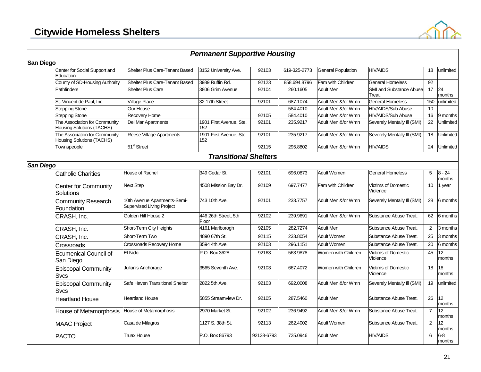

|                  |                                                                   |                                                           | <b>Permanent Supportive Housing</b> |            |              |                           |                                          |                 |                    |
|------------------|-------------------------------------------------------------------|-----------------------------------------------------------|-------------------------------------|------------|--------------|---------------------------|------------------------------------------|-----------------|--------------------|
| <b>San Diego</b> |                                                                   |                                                           |                                     |            |              |                           |                                          |                 |                    |
|                  | Center for Social Support and<br>Education                        | Shelter Plus Care-Tenant Based                            | 3152 University Ave.                | 92103      | 619-325-2773 | <b>General Population</b> | <b>HIV/AIDS</b>                          | 18              | unlimited          |
|                  | County of SD-Housing Authority                                    | Shelter Plus Care-Tenant Based                            | 3989 Ruffin Rd.                     | 92123      | 858.694.8796 | Fam with Children         | <b>General Homeless</b>                  | 92              |                    |
|                  | Pathfinders                                                       | <b>Shelter Plus Care</b>                                  | 3806 Grim Avenue                    | 92104      | 260.1605     | <b>Adult Men</b>          | <b>SMI and Substance Abuse</b><br>Treat. | 17 <sup>2</sup> | 24<br>months       |
|                  | St. Vincent de Paul, Inc.                                         | <b>Village Place</b>                                      | 32 17th Street                      | 92101      | 687.1074     | Adult Men &/or Wmn        | General Homeless                         | 150             | unlimited          |
|                  | <b>Stepping Stone</b>                                             | Our House                                                 |                                     |            | 584.4010     | Adult Men &/or Wmn        | <b>HIV/AIDS/Sub Abuse</b>                | 10              |                    |
|                  | <b>Stepping Stone</b>                                             | Recovery Home                                             |                                     | 92105      | 584.4010     | Adult Men &/or Wmn        | HIV/AIDS/Sub Abuse                       | 16              | 9 months           |
|                  | The Association for Community<br><b>Housing Solutions (TACHS)</b> | Del Mar Apartments                                        | 1901 First Avenue, Ste.<br>152      | 92101      | 235.9217     | Adult Men &/or Wmn        | Severely Mentally III (SMI)              | $\overline{22}$ | Unlimited          |
|                  | The Association for Community<br><b>Housing Solutions (TACHS)</b> | Reese Village Apartments                                  | 1901 First Avenue, Ste.<br>152      | 92101      | 235.9217     | Adult Men &/or Wmn        | Severely Mentally III (SMI)              | 18              | Unlimited          |
|                  | Townspeople                                                       | 51 <sup>st</sup> Street                                   |                                     | 92115      | 295.8802     | Adult Men &/or Wmn        | <b>HIV/AIDS</b>                          | 24              | Unlimited          |
|                  |                                                                   |                                                           | <b>Transitional Shelters</b>        |            |              |                           |                                          |                 |                    |
| San Diego        |                                                                   |                                                           |                                     |            |              |                           |                                          |                 |                    |
|                  | <b>Catholic Charities</b>                                         | House of Rachel                                           | 349 Cedar St.                       | 92101      | 696.0873     | <b>Adult Women</b>        | <b>General Homeless</b>                  | 5               | $8 - 24$<br>months |
|                  | <b>Center for Community</b><br>Solutions                          | <b>Next Step</b>                                          | 4508 Mission Bay Dr.                | 92109      | 697.7477     | Fam with Children         | <b>Victims of Domestic</b><br>Violence   | 10              | 1 year             |
|                  | <b>Community Research</b><br>Foundation                           | 10th Avenue Apartments-Semi-<br>Supervised Living Project | 743 10th Ave.                       | 92101      | 233.7757     | Adult Men &/or Wmn        | Severely Mentally III (SMI)              | 28              | 6 months           |
|                  | CRASH, Inc.                                                       | Golden Hill House 2                                       | 446 26th Street, 5th<br>Floor       | 92102      | 239.9691     | Adult Men &/or Wmn        | Substance Abuse Treat.                   | 62              | 6 months           |
|                  | CRASH, Inc.                                                       | Short-Term City Heights                                   | 4161 Marlborogh                     | 92105      | 282.7274     | <b>Adult Men</b>          | Substance Abuse Treat.                   | 2               | 3 months           |
|                  | CRASH, Inc.                                                       | Short-Term Two                                            | 4890 67th St.                       | 92115      | 233.8054     | <b>Adult Women</b>        | Substance Abuse Treat.                   | $\overline{25}$ | 3 months           |
|                  | Crossroads                                                        | Crossroads Recovery Home                                  | 3594 4th Ave.                       | 92103      | 296.1151     | <b>Adult Women</b>        | Substance Abuse Treat.                   | 20              | 6 months           |
|                  | Ecumenical Council of<br>San Diego                                | El Nido                                                   | P.O. Box 3628                       | 92163      | 563.9878     | Women with Children       | Victims of Domestic<br>Violence          | 45              | 12<br>months       |
|                  | Episcopal Community<br><b>Svcs</b>                                | Julian's Anchorage                                        | 3565 Seventh Ave.                   | 92103      | 667.4072     | Women with Children       | <b>Victims of Domestic</b><br>Violence   | 18              | 18<br>months       |
|                  | Episcopal Community<br><b>Svcs</b>                                | Safe Haven Transitional Shelter                           | 2822 5th Ave.                       | 92103      | 692.0008     | Adult Men &/or Wmn        | Severely Mentally III (SMI)              | 19              | unlimited          |
|                  | <b>Heartland House</b>                                            | <b>Heartland House</b>                                    | 5855 Streamview Dr.                 | 92105      | 287.5460     | <b>Adult Men</b>          | Substance Abuse Treat.                   | 26              | 12<br>months       |
|                  | House of Metamorphosis                                            | House of Metamorphosis                                    | 2970 Market St.                     | 92102      | 236.9492     | Adult Men &/or Wmn        | Substance Abuse Treat.                   | $\overline{7}$  | 12<br>months       |
|                  | <b>MAAC Project</b>                                               | Casa de Milagros                                          | 1127 S. 38th St.                    | 92113      | 262.4002     | Adult Women               | Substance Abuse Treat.                   | $\overline{2}$  | 12<br>months       |
|                  | <b>PACTO</b>                                                      | Truax House                                               | P.O. Box 86793                      | 92138-6793 | 725.0946     | <b>Adult Men</b>          | <b>HIV/AIDS</b>                          | 6               | $6-8$<br>months    |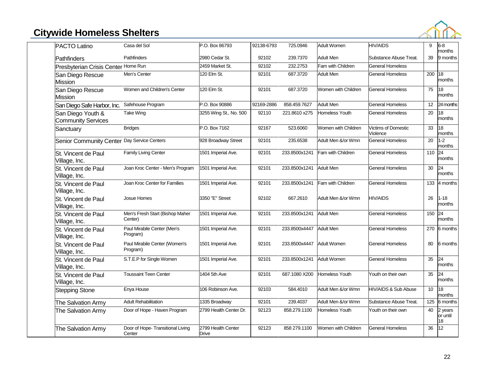# **Citywide Homeless Shelters**



| <b>PACTO Latino</b>                            | Casa del Sol                                | P.O. Box 86793              | 92138-6793 | 725.0946                  | <b>Adult Women</b>  | <b>HIV/AIDS</b>                        | 9                | $6-8$<br>months           |
|------------------------------------------------|---------------------------------------------|-----------------------------|------------|---------------------------|---------------------|----------------------------------------|------------------|---------------------------|
| Pathfinders                                    | Pathfinders                                 | 2980 Cedar St.              | 92102      | 239.7370                  | <b>Adult Men</b>    | Substance Abuse Treat.                 | 39               | 9 months                  |
| Presbyterian Crisis Center Home Run            |                                             | 2459 Market St.             | 92102      | 232.2753                  | Fam with Children   | <b>General Homeless</b>                |                  |                           |
| San Diego Rescue<br><b>Mission</b>             | Men's Center                                | 120 Elm St.                 | 92101      | 687.3720                  | <b>Adult Men</b>    | <b>General Homeless</b>                | 200              | 18<br>months              |
| San Diego Rescue<br><b>Mission</b>             | Women and Children's Center                 | 120 Elm St.                 | 92101      | 687.3720                  | Women with Children | <b>General Homeless</b>                | $\overline{75}$  | 18<br>months              |
| San Diego Safe Harbor, Inc.                    | Safehouse Program                           | P.O. Box 90886              | 92169-2886 | 858.459.7627              | <b>Adult Men</b>    | <b>General Homeless</b>                | 12               | 24 months                 |
| San Diego Youth &<br><b>Community Services</b> | Take Wing                                   | 3255 Wing St., No. 500      | 92110      | 221.8610 x275             | Homeless Youth      | <b>General Homeless</b>                | 20               | 18<br>months              |
| Sanctuary                                      | <b>Bridges</b>                              | P.O. Box 7162               | 92167      | 523.6060                  | Women with Children | <b>Victims of Domestic</b><br>Violence | 33               | 18<br>months              |
| Senior Community Center Day Service Centers    |                                             | 928 Broadway Street         | 92101      | 235.6538                  | Adult Men &/or Wmn  | <b>General Homeless</b>                | 20               | $1 - 2$<br>months         |
| St. Vincent de Paul<br>Village, Inc.           | <b>Family Living Center</b>                 | 1501 Imperial Ave.          | 92101      | 233.8500x1241             | Fam with Children   | General Homeless                       | 110              | 24<br>months              |
| St. Vincent de Paul<br>Village, Inc.           | Joan Kroc Center - Men's Program            | 1501 Imperial Ave.          | 92101      | 233.8500x1241             | <b>Adult Men</b>    | <b>General Homeless</b>                | 30               | 24<br>months              |
| St. Vincent de Paul<br>Village, Inc.           | Joan Kroc Center for Families               | 1501 Imperial Ave.          | 92101      | 233.8500x1241             | Fam with Children   | <b>General Homeless</b>                | 133              | 4 months                  |
| St. Vincent de Paul<br>Village, Inc.           | <b>Josue Homes</b>                          | 3350 "E" Street             | 92102      | 667.2610                  | Adult Men &/or Wmn  | <b>HIV/AIDS</b>                        | 26               | $1 - 18$<br>months        |
| St. Vincent de Paul<br>Village, Inc.           | Men's Fresh Start (Bishop Maher<br>Center)  | 1501 Imperial Ave.          | 92101      | 233.8500x1241             | <b>Adult Men</b>    | <b>General Homeless</b>                | 150              | 24<br>months              |
| St. Vincent de Paul<br>Village, Inc.           | Paul Mirabile Center (Men's<br>Program)     | 1501 Imperial Ave.          | 92101      | 233.8500x4447             | <b>Adult Men</b>    | <b>General Homeless</b>                | 270              | 6 months                  |
| St. Vincent de Paul<br>Village, Inc.           | Paul Mirabile Center (Women's<br>Program)   | 1501 Imperial Ave.          | 92101      | 233.8500x4447 Adult Women |                     | <b>General Homeless</b>                | 80               | 6 months                  |
| St. Vincent de Paul<br>Village, Inc.           | S.T.E.P for Single Women                    | 1501 Imperial Ave.          | 92101      | 233.8500x1241             | <b>Adult Women</b>  | <b>General Homeless</b>                | 35               | 24<br>months              |
| St. Vincent de Paul<br>Village, Inc.           | <b>Toussaint Teen Center</b>                | 1404 5th Ave                | 92101      | 687.1080 X200             | Homeless Youth      | Youth on their own                     | 35               | 24<br>months              |
| <b>Stepping Stone</b>                          | Enya House                                  | 106 Robinson Ave.           | 92103      | 584.4010                  | Adult Men &/or Wmn  | HIV/AIDS & Sub Abuse                   | 10               | 18<br>months              |
| The Salvation Army                             | <b>Adult Rehabilitation</b>                 | 1335 Broadway               | 92101      | 239.4037                  | Adult Men &/or Wmn  | Substance Abuse Treat.                 | $\frac{125}{25}$ | 6 months                  |
| The Salvation Army                             | Door of Hope - Haven Program                | 2799 Health Center Dr.      | 92123      | 858.279.1100              | Homeless Youth      | Youth on their own                     | 40               | 2 years<br>or until<br>18 |
| The Salvation Army                             | Door of Hope- Transitional Living<br>Center | 2799 Health Center<br>Drive | 92123      | 858 279.1100              | Women with Children | <b>General Homeless</b>                | 36               | 12                        |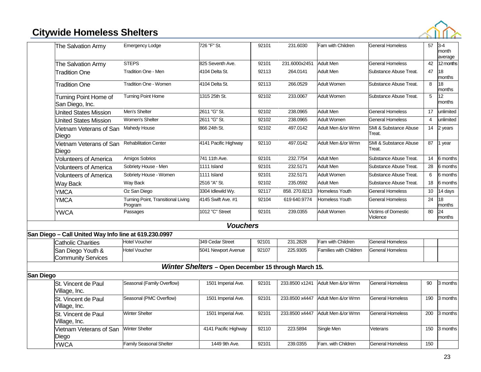### **Citywide Homeless Shelters**



|           | The Salvation Army                                    | <b>Emergency Lodge</b>                        | 726 "F" St.                                          | 92101             | 231.6030       | Fam with Children             | <b>General Homeless</b>                | 57  | $3-4$<br>month<br>average |
|-----------|-------------------------------------------------------|-----------------------------------------------|------------------------------------------------------|-------------------|----------------|-------------------------------|----------------------------------------|-----|---------------------------|
|           | The Salvation Army                                    | <b>STEPS</b>                                  | 825 Seventh Ave.                                     | 92101             | 231.6000x2451  | <b>Adult Men</b>              | <b>General Homeless</b>                | 42  | 12 months                 |
|           | <b>Tradition One</b>                                  | <b>Tradition One - Men</b>                    | 4104 Delta St.                                       | 92113             | 264.0141       | Adult Men                     | Substance Abuse Treat.                 | 47  | 18<br>months              |
|           | <b>Tradition One</b>                                  | <b>Tradition One - Women</b>                  | 4104 Delta St.                                       | 92113             | 266.0529       | <b>Adult Women</b>            | Substance Abuse Treat.                 | 8   | 18<br>months              |
|           | Turning Point Home of<br>San Diego, Inc.              | <b>Turning Point Home</b>                     | 1315 25th St.                                        | 92102             | 233.0067       | <b>Adult Women</b>            | Substance Abuse Treat.                 | 5   | 12<br>months              |
|           | <b>United States Mission</b>                          | Men's Shelter                                 | 2611 "G" St.                                         | 92102             | 238.0965       | <b>Adult Men</b>              | <b>General Homeless</b>                | 17  | unlimited                 |
|           | <b>United States Mission</b>                          | Women's Shelter                               | 2611 "G" St.                                         | $\frac{1}{92102}$ | 238.0965       | <b>Adult Women</b>            | <b>General Homeless</b>                | 4   | unlimited                 |
|           | Vietnam Veterans of San<br>Diego                      | Mahedy House                                  | 866 24th St.                                         | 92102             | 497.0142       | Adult Men &/or Wmn            | SMI & Substance Abuse<br>Treat.        | 14  | 2 years                   |
|           | Vietnam Veterans of San<br>Diego                      | <b>Rehabilitation Center</b>                  | 4141 Pacific Highway                                 | 92110             | 497.0142       | Adult Men &/or Wmn            | SMI & Substance Abuse<br>Treat.        | 87  | 1 year                    |
|           | <b>Volunteers of America</b>                          | Amigos Sobrios                                | 741 11th Ave.                                        | 92101             | 232.7754       | <b>Adult Men</b>              | Substance Abuse Treat.                 | 14  | 6 months                  |
|           | Volunteers of America                                 | Sobriety House - Men                          | 1111 Island                                          | 92101             | 232.5171       | <b>Adult Men</b>              | Substance Abuse Treat.                 | 28  | 6 months                  |
|           | <b>Volunteers of America</b>                          | Sobriety House - Women                        | 1111 Island                                          | 92101             | 232.5171       | <b>Adult Women</b>            | Substance Abuse Treat.                 | 6   | 6 months                  |
|           | <b>Way Back</b>                                       | Way Back                                      | 2516 "A" St.                                         | 92102             | 235.0592       | <b>Adult Men</b>              | Substance Abuse Treat.                 | 18  | 6 months                  |
|           | <b>YMCA</b>                                           | Oz San Diego                                  | 3304 Idlewild Wy.                                    | 92117             | 858.270.8213   | <b>Homeless Youth</b>         | <b>General Homeless</b>                | 10  | 14 days                   |
|           | <b>YMCA</b>                                           | Turning Point, Transitional Living<br>Program | 4145 Swift Ave. #1                                   | 92104             | 619 640.9774   | Homeless Youth                | <b>General Homeless</b>                | 24  | 18<br>months              |
|           | <b>YWCA</b>                                           | Passages                                      | 1012 "C" Street                                      | 92101             | 239.0355       | <b>Adult Women</b>            | <b>Victims of Domestic</b><br>Violence | 80  | 24<br>months              |
|           |                                                       |                                               | <b>Vouchers</b>                                      |                   |                |                               |                                        |     |                           |
|           | San Diego - Call United Way Info line at 619.230.0997 |                                               |                                                      |                   |                |                               |                                        |     |                           |
|           | <b>Catholic Charities</b>                             | <b>Hotel Voucher</b>                          | 349 Cedar Street                                     | 92101             | 231.2828       | Fam with Children             | <b>General Homeless</b>                |     |                           |
|           | San Diego Youth &<br><b>Community Services</b>        | <b>Hotel Voucher</b>                          | 5041 Newport Avenue                                  | 92107             | 225.9305       | <b>Families with Children</b> | <b>General Homeless</b>                |     |                           |
|           |                                                       |                                               | Winter Shelters - Open December 15 through March 15. |                   |                |                               |                                        |     |                           |
| San Diego |                                                       |                                               |                                                      |                   |                |                               |                                        |     |                           |
|           | St. Vincent de Paul<br>Village, Inc.                  | Seasonal (Family Overflow)                    | 1501 Imperial Ave.                                   | 92101             | 233.8500 x1241 | Adult Men &/or Wmn            | <b>General Homeless</b>                | 90  | 3 months                  |
|           | St. Vincent de Paul<br>Village, Inc.                  | Seasonal (PMC Overflow)                       | 1501 Imperial Ave.                                   | 92101             | 233.8500 x4447 | Adult Men &/or Wmn            | <b>General Homeless</b>                | 190 | 3 months                  |
|           | St. Vincent de Paul<br>Village, Inc.                  | <b>Winter Shelter</b>                         | 1501 Imperial Ave.                                   | 92101             | 233.8500 x4447 | Adult Men &/or Wmn            | <b>General Homeless</b>                | 200 | 3 months                  |
|           | Vietnam Veterans of San<br>Diego                      | <b>Winter Shelter</b>                         | 4141 Pacific Highway                                 | 92110             | 223.5894       | Single Men                    | Veterans                               | 150 | 3 months                  |
|           | <b>YWCA</b>                                           | <b>Family Seasonal Shelter</b>                | 1449 9th Ave.                                        | 92101             | 239.0355       | Fam. with Children            | <b>General Homeless</b>                | 150 |                           |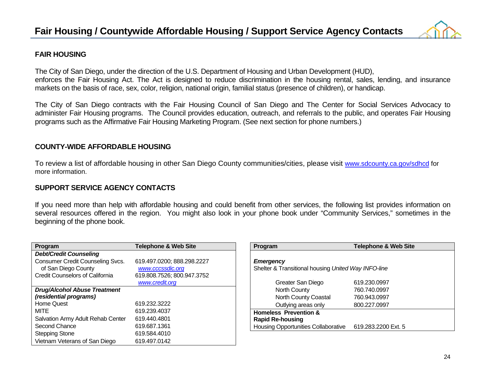

### **FAIR HOUSING**

The City of San Diego, under the direction of the U.S. Department of Housing and Urban Development (HUD), enforces the Fair Housing Act. The Act is designed to reduce discrimination in the housing rental, sales, lending, and insurance markets on the basis of race, sex, color, religion, national origin, familial status (presence of children), or handicap.

The City of San Diego contracts with the Fair Housing Council of San Diego and The Center for Social Services Advocacy to administer Fair Housing programs. The Council provides education, outreach, and referrals to the public, and operates Fair Housing programs such as the Affirmative Fair Housing Marketing Program. (See next section for phone numbers.)

### **COUNTY-WIDE AFFORDABLE HOUSING**

To review a list of affordable housing in other San Diego County communities/cities, please visit [www.sdcounty.ca.gov/sdhcd](http://www.sdcounty.ca.gov/sdhcd) for more information.

### **SUPPORT SERVICE AGENCY CONTACTS**

If you need more than help with affordable housing and could benefit from other services, the following list provides information on several resources offered in the region. You might also look in your phone book under "Community Services," sometimes in the beginning of the phone book.

| Program                                 | <b>Telephone &amp; Web Site</b> |
|-----------------------------------------|---------------------------------|
| <b>Debt/Credit Counseling</b>           |                                 |
| <b>Consumer Credit Counseling Svcs.</b> | 619.497.0200; 888.298.2227      |
| of San Diego County                     | www.cccssdic.org                |
| <b>Credit Counselors of California</b>  | 619.808.7526; 800.947.3752      |
|                                         | www.credit.org                  |
| <b>Drug/Alcohol Abuse Treatment</b>     |                                 |
| (residential programs)                  |                                 |
| <b>Home Quest</b>                       | 619.232.3222                    |
| MITE                                    | 619.239.4037                    |
| Salvation Army Adult Rehab Center       | 619.440.4801                    |
| Second Chance                           | 619.687.1361                    |
| <b>Stepping Stone</b>                   | 619.584.4010                    |
| Vietnam Veterans of San Diego           | 619.497.0142                    |

| Program                                             | <b>Telephone &amp; Web Site</b> |
|-----------------------------------------------------|---------------------------------|
|                                                     |                                 |
| <b>Emergency</b>                                    |                                 |
| Shelter & Transitional housing United Way INFO-line |                                 |
|                                                     |                                 |
| Greater San Diego                                   | 619.230.0997                    |
| North County                                        | 760.740.0997                    |
| North County Coastal                                | 760.943.0997                    |
| Outlying areas only                                 | 800.227.0997                    |
| <b>Homeless Prevention &amp;</b>                    |                                 |
| <b>Rapid Re-housing</b>                             |                                 |
| <b>Housing Opportunities Collaborative</b>          | 619.283.2200 Ext. 5             |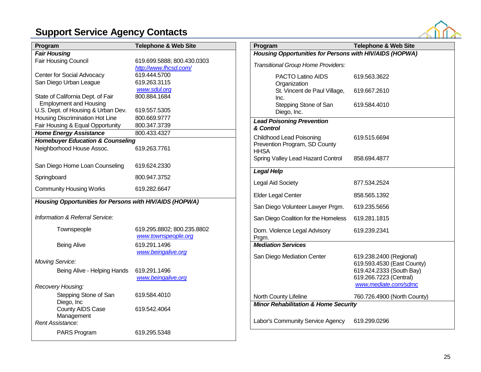### **Support Service Agency Contacts**